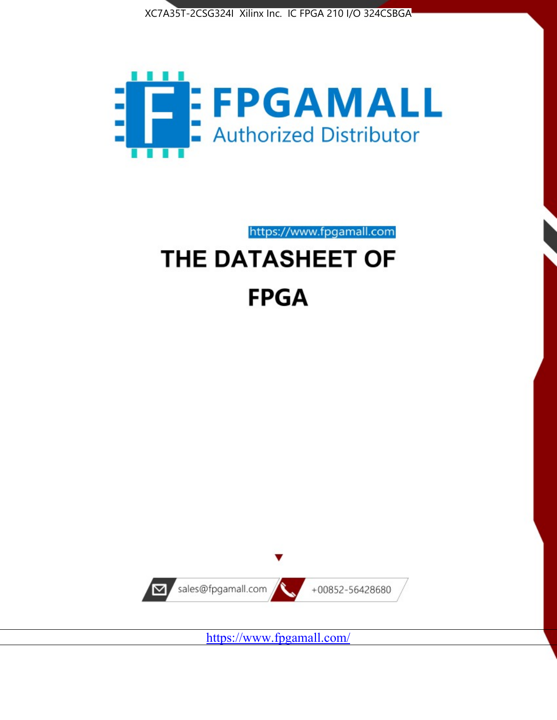



https://www.fpgamall.com

# THE DATASHEET OF **FPGA**



<https://www.fpgamall.com/>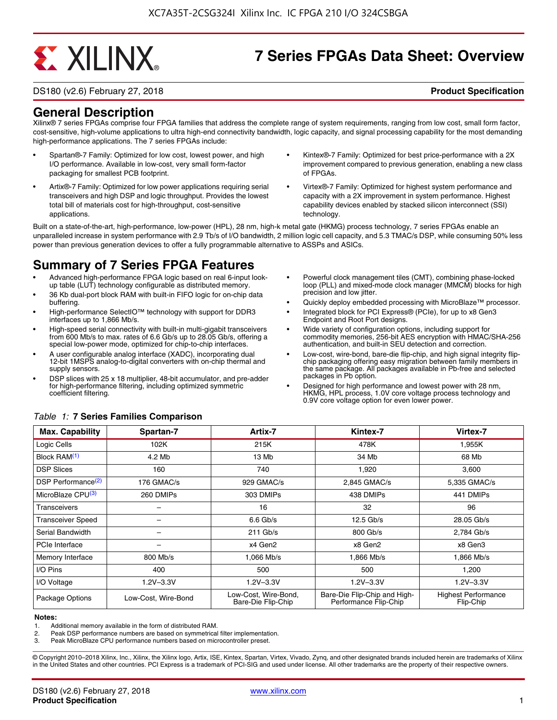# **EXALINX**

# **7 Series FPGAs Data Sheet: Overview**

DS180 (v2.6) February 27, 2018 **Product Specification**

# **General Description**

Xilinx® 7 series FPGAs comprise four FPGA families that address the complete range of system requirements, ranging from low cost, small form factor, cost-sensitive, high-volume applications to ultra high-end connectivity bandwidth, logic capacity, and signal processing capability for the most demanding high-performance applications. The 7 series FPGAs include:

- Spartan®-7 Family: Optimized for low cost, lowest power, and high I/O performance. Available in low-cost, very small form-factor packaging for smallest PCB footprint.
- Artix®-7 Family: Optimized for low power applications requiring serial transceivers and high DSP and logic throughput. Provides the lowest total bill of materials cost for high-throughput, cost-sensitive applications.
- Kintex®-7 Family: Optimized for best price-performance with a 2X improvement compared to previous generation, enabling a new class of FPGAs.
- Virtex®-7 Family: Optimized for highest system performance and capacity with a 2X improvement in system performance. Highest capability devices enabled by stacked silicon interconnect (SSI) technology

Built on a state-of-the-art, high-performance, low-power (HPL), 28 nm, high-k metal gate (HKMG) process technology, 7 series FPGAs enable an unparalleled increase in system performance with 2.9 Tb/s of I/O bandwidth, 2 million logic cell capacity, and 5.3 TMAC/s DSP, while consuming 50% less power than previous generation devices to offer a fully programmable alternative to ASSPs and ASICs.

# **Summary of 7 Series FPGA Features**

- Advanced high-performance FPGA logic based on real 6-input lookup table (LUT) technology configurable as distributed memory.
- 36 Kb dual-port block RAM with built-in FIFO logic for on-chip data buffering.
- High-performance SelectIO™ technology with support for DDR3 interfaces up to 1,866 Mb/s.
- High-speed serial connectivity with built-in multi-gigabit transceivers from 600 Mb/s to max. rates of 6.6 Gb/s up to 28.05 Gb/s, offering a special low-power mode, optimized for chip-to-chip interfaces.
- A user configurable analog interface (XADC), incorporating dual 12-bit 1MSPS analog-to-digital converters with on-chip thermal and supply sensors.
- DSP slices with 25 x 18 multiplier, 48-bit accumulator, and pre-adder for high-performance filtering, including optimized symmetric coefficient filtering.
- Powerful clock management tiles (CMT), combining phase-locked loop (PLL) and mixed-mode clock manager (MMCM) blocks for high precision and low jitter.
- Quickly deploy embedded processing with MicroBlaze™ processor.
- Integrated block for PCI Express® (PCIe), for up to x8 Gen3 Endpoint and Root Port designs.
- Wide variety of configuration options, including support for commodity memories, 256-bit AES encryption with HMAC/SHA-256 authentication, and built-in SEU detection and correction.
- Low-cost, wire-bond, bare-die flip-chip, and high signal integrity flipchip packaging offering easy migration between family members in the same package. All packages available in Pb-free and selected packages in Pb option.
- Designed for high performance and lowest power with 28 nm, HKMG, HPL process, 1.0V core voltage process technology and 0.9V core voltage option for even lower power.

| <b>Max. Capability</b>         | Spartan-7           | Artix-7                                    | Kintex-7                                              | Virtex-7                                |
|--------------------------------|---------------------|--------------------------------------------|-------------------------------------------------------|-----------------------------------------|
| Logic Cells                    | 102K                | 215K                                       | 478K                                                  | 1,955K                                  |
| Block RAM <sup>(1)</sup>       | 4.2 Mb              | 13 Mb                                      | 34 Mb                                                 | 68 Mb                                   |
| <b>DSP Slices</b>              | 160                 | 740                                        | 1,920                                                 | 3,600                                   |
| DSP Performance <sup>(2)</sup> | 176 GMAC/s          | 929 GMAC/s                                 | 2,845 GMAC/s                                          | 5,335 GMAC/s                            |
| MicroBlaze CPU <sup>(3)</sup>  | 260 DMIPs           | 303 DMIPs                                  | 438 DMIPs                                             | 441 DMIPs                               |
| Transceivers                   |                     | 16                                         | 32                                                    | 96                                      |
| <b>Transceiver Speed</b>       |                     | $6.6$ Gb/s                                 | $12.5$ Gb/s                                           | 28.05 Gb/s                              |
| Serial Bandwidth               |                     | $211$ Gb/s                                 | 800 Gb/s                                              | 2,784 Gb/s                              |
| <b>PCIe Interface</b>          | -                   | x4 Gen2                                    | x8 Gen2                                               | x8 Gen3                                 |
| Memory Interface               | 800 Mb/s            | 1.066 Mb/s                                 | 1.866 Mb/s                                            | 1.866 Mb/s                              |
| I/O Pins                       | 400                 | 500                                        | 500                                                   | 1,200                                   |
| I/O Voltage                    | $1.2V - 3.3V$       | $1.2V - 3.3V$                              | $1.2V - 3.3V$                                         | $1.2V - 3.3V$                           |
| Package Options                | Low-Cost. Wire-Bond | Low-Cost, Wire-Bond,<br>Bare-Die Flip-Chip | Bare-Die Flip-Chip and High-<br>Performance Flip-Chip | <b>Highest Performance</b><br>Flip-Chip |

#### *Table 1:* **7 Series Families Comparison**

#### **Notes:**

1. Additional memory available in the form of distributed RAM.

2. Peak DSP performance numbers are based on symmetrical filter implementation.<br>3. Peak MicroBlaze CPU performance numbers based on microcontroller preset.

Peak MicroBlaze CPU performance numbers based on microcontroller preset.

© Copyright 2010–2018 Xilinx, Inc., Xilinx, the Xilinx logo, Artix, ISE, Kintex, Spartan, Virtex, Vivado, Zynq, and other designated brands included herein are trademarks of Xilinx in the United States and other countries. PCI Express is a trademark of PCI-SIG and used under license. All other trademarks are the property of their respective owners.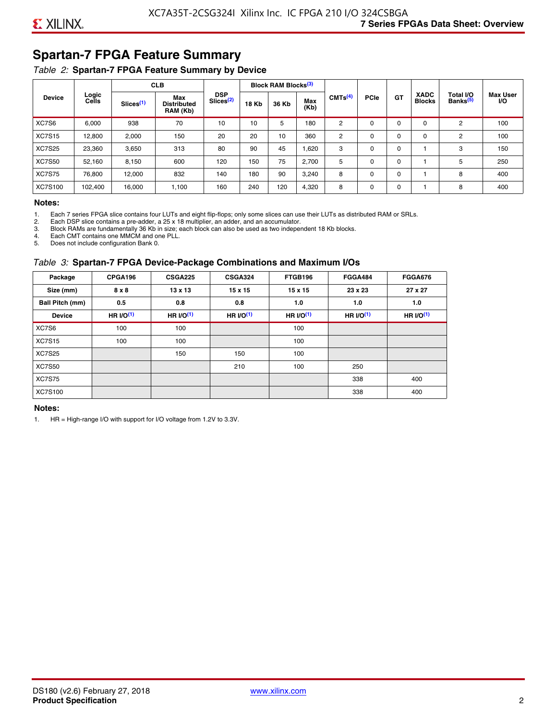# **Spartan-7 FPGA Feature Summary**

# *Table 2:* **Spartan-7 FPGA Feature Summary by Device**

|               |                |                       | <b>CLB</b>                            |                                     |              | <b>Block RAM Blocks</b> <sup>(3)</sup> |             |                     |             |             |                              |                                   |                              |
|---------------|----------------|-----------------------|---------------------------------------|-------------------------------------|--------------|----------------------------------------|-------------|---------------------|-------------|-------------|------------------------------|-----------------------------------|------------------------------|
| <b>Device</b> | Logic<br>Cells | Slices <sup>(1)</sup> | Max<br><b>Distributed</b><br>RAM (Kb) | <b>DSP</b><br>Slices <sup>(2)</sup> | <b>18 Kb</b> | 36 Kb                                  | Max<br>(Kb) | CMTS <sup>(4)</sup> | <b>PCle</b> | <b>GT</b>   | <b>XADC</b><br><b>Blocks</b> | Total I/O<br>Banks <sup>(5)</sup> | <b>Max User</b><br><b>VO</b> |
| XC7S6         | 6,000          | 938                   | 70                                    | 10                                  | 10           | 5                                      | 180         | 2                   | $\Omega$    | 0           | 0                            | 2                                 | 100                          |
| <b>XC7S15</b> | 12,800         | 2,000                 | 150                                   | 20                                  | 20           | 10                                     | 360         | 2                   | $\Omega$    | $\mathbf 0$ | 0                            | 2                                 | 100                          |
| <b>XC7S25</b> | 23,360         | 3,650                 | 313                                   | 80                                  | 90           | 45                                     | 1,620       | 3                   | 0           | 0           |                              | 3                                 | 150                          |
| <b>XC7S50</b> | 52,160         | 8,150                 | 600                                   | 120                                 | 150          | 75                                     | 2,700       | 5                   | $\Omega$    | 0           |                              | 5                                 | 250                          |
| <b>XC7S75</b> | 76,800         | 12,000                | 832                                   | 140                                 | 180          | 90                                     | 3,240       | 8                   | 0           | 0           |                              | 8                                 | 400                          |
| XC7S100       | 102,400        | 16.000                | 1,100                                 | 160                                 | 240          | 120                                    | 4,320       | 8                   | 0           | 0           |                              | 8                                 | 400                          |

#### **Notes:**

1. Each 7 series FPGA slice contains four LUTs and eight flip-flops; only some slices can use their LUTs as distributed RAM or SRLs.<br>2. Each DSP slice contains a pre-adder. a 25 x 18 multiplier. an adder. and an accumulato

2. Each DSP slice contains a pre-adder, a 25 x 18 multiplier, an adder, and an accumulator. 3. Block RAMs are fundamentally 36 Kb in size; each block can also be used as two independent 18 Kb blocks.

4. Each CMT contains one MMCM and one PLL.

5. Does not include configuration Bank 0.

#### *Table 3:* **Spartan-7 FPGA Device-Package Combinations and Maximum I/Os**

| Package         | CPGA196      | <b>CSGA225</b> | <b>CSGA324</b> | FTGB196    | <b>FGGA484</b> | <b>FGGA676</b> |
|-----------------|--------------|----------------|----------------|------------|----------------|----------------|
| Size (mm)       | $8 \times 8$ | $13 \times 13$ | $15 \times 15$ | 15 x 15    | 23 x 23        | 27 x 27        |
| Ball Pitch (mm) | 0.5          | 0.8            | 0.8            | 1.0        | 1.0            | 1.0            |
| <b>Device</b>   | HR $UO(1)$   | HR $UO(1)$     | HR $UO(1)$     | HR $l$ (1) | HR $UO(1)$     | HR $UO(1)$     |
| XC7S6           | 100          | 100            |                | 100        |                |                |
| <b>XC7S15</b>   | 100          | 100            |                | 100        |                |                |
| <b>XC7S25</b>   |              | 150            | 150            | 100        |                |                |
| <b>XC7S50</b>   |              |                | 210            | 100        | 250            |                |
| <b>XC7S75</b>   |              |                |                |            | 338            | 400            |
| <b>XC7S100</b>  |              |                |                |            | 338            | 400            |

#### **Notes:**

1. HR = High-range I/O with support for I/O voltage from 1.2V to 3.3V.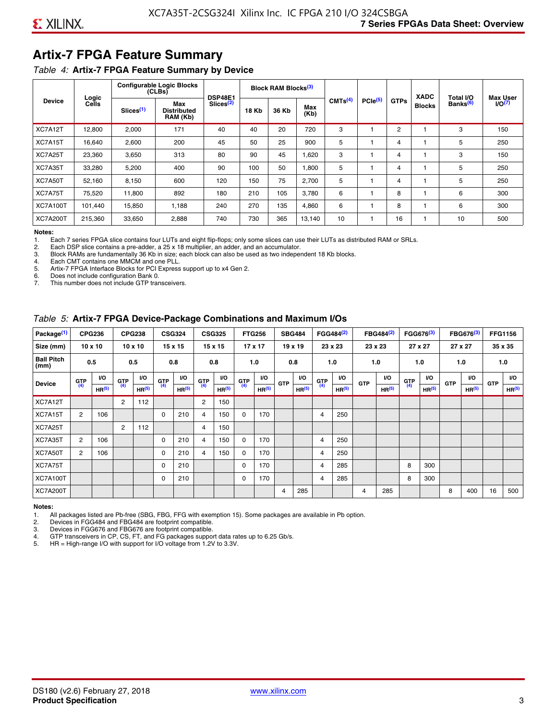# **Artix-7 FPGA Feature Summary**

#### *Table 4:* **Artix-7 FPGA Feature Summary by Device**

|                 |                |                       | <b>Configurable Logic Blocks</b><br>(CLBs) | <b>DSP48E1</b>        |              | Block RAM Blocks <sup>(3)</sup> |             |                     |                     |             | <b>XADC</b>   | Total I/O            | <b>Max User</b>    |
|-----------------|----------------|-----------------------|--------------------------------------------|-----------------------|--------------|---------------------------------|-------------|---------------------|---------------------|-------------|---------------|----------------------|--------------------|
| <b>Device</b>   | Logic<br>Cells | Slices <sup>(1)</sup> | Max<br><b>Distributed</b><br>RAM (Kb)      | Slices <sup>(2)</sup> | <b>18 Kb</b> | 36 Kb                           | Max<br>(Kb) | CMTS <sup>(4)</sup> | PCle <sup>(5)</sup> | <b>GTPs</b> | <b>Blocks</b> | Banks <sup>(6)</sup> | I/O <sub>(7)</sub> |
| XC7A12T         | 12,800         | 2,000                 | 171                                        | 40                    | 40           | 20                              | 720         | 3                   |                     | 2           |               | 3                    | 150                |
| XC7A15T         | 16,640         | 2,600                 | 200                                        | 45                    | 50           | 25                              | 900         | 5                   |                     | 4           |               | 5                    | 250                |
| XC7A25T         | 23,360         | 3,650                 | 313                                        | 80                    | 90           | 45                              | 1,620       | 3                   |                     | 4           |               | 3                    | 150                |
| XC7A35T         | 33,280         | 5,200                 | 400                                        | 90                    | 100          | 50                              | 1,800       | 5                   |                     | 4           |               | 5                    | 250                |
| XC7A50T         | 52,160         | 8,150                 | 600                                        | 120                   | 150          | 75                              | 2.700       | 5                   |                     | 4           |               | 5                    | 250                |
| XC7A75T         | 75,520         | 11,800                | 892                                        | 180                   | 210          | 105                             | 3,780       | 6                   |                     | 8           |               | 6                    | 300                |
| <b>XC7A100T</b> | 101.440        | 15,850                | 1.188                                      | 240                   | 270          | 135                             | 4,860       | 6                   |                     | 8           |               | 6                    | 300                |
| <b>XC7A200T</b> | 215,360        | 33,650                | 2,888                                      | 740                   | 730          | 365                             | 13,140      | 10                  |                     | 16          |               | 10                   | 500                |

**Notes:**  Each 7 series FPGA slice contains four LUTs and eight flip-flops; only some slices can use their LUTs as distributed RAM or SRLs.

2. Each DSP slice contains a pre-adder, a 25 x 18 multiplier, an adder, and an accumulator.

3. Block RAMs are fundamentally 36 Kb in size; each block can also be used as two independent 18 Kb blocks.

4. Each CMT contains one MMCM and one PLL.<br>5. Artix-7 FPGA Interface Blocks for PCI Express

5. Artix-7 FPGA Interface Blocks for PCI Express support up to x4 Gen 2.<br>6. Does not include configuration Bank 0.

6. Does not include configuration Bank 0.

This number does not include GTP transceivers.

#### *Table 5:* **Artix-7 FPGA Device-Package Combinations and Maximum I/Os**

| Package <sup>(1)</sup>    |            | <b>CPG236</b>     |                | <b>CPG238</b>  |            | <b>CSG324</b> |                | <b>CSG325</b>     |       | <b>FTG256</b>     |            | <b>SBG484</b>     |                | FGG484 <sup>(2)</sup> |                | FBG484 <sup>(2)</sup> |       | FGG676 <sup>(3)</sup> |            | FBG676 <sup>(3)</sup> |            | <b>FFG1156</b> |
|---------------------------|------------|-------------------|----------------|----------------|------------|---------------|----------------|-------------------|-------|-------------------|------------|-------------------|----------------|-----------------------|----------------|-----------------------|-------|-----------------------|------------|-----------------------|------------|----------------|
| Size (mm)                 |            | $10 \times 10$    |                | $10 \times 10$ |            | 15 x 15       |                | 15 x 15           |       | $17 \times 17$    |            | $19 \times 19$    |                | 23 x 23               |                | 23 x 23               |       | 27 x 27               |            | 27 x 27               |            | 35 x 35        |
| <b>Ball Pitch</b><br>(mm) |            | 0.5               |                | 0.5            |            | 0.8           | 0.8            |                   |       | 1.0               |            | 0.8               |                | 1.0                   |                | 1.0                   |       | 1.0                   |            | 1.0                   |            | 1.0            |
| <b>Device</b>             | <b>GTP</b> | <b>VO</b>         | <b>GTP</b>     | <b>VO</b>      | <b>GTP</b> | <b>VO</b>     | <b>GTP</b>     | <b>VO</b>         | G(TP) | VO.               | <b>GTP</b> | VO.               | G(TP)          | <b>VO</b>             | <b>GTP</b>     | <b>VO</b>             | G(TP) | <b>VO</b>             | <b>GTP</b> | <b>VO</b>             | <b>GTP</b> | <b>VO</b>      |
|                           | (4)        | HR <sup>(5)</sup> | (4)            | HR(5)          | (4)        | HP(5)         | (4)            | HR <sup>(5)</sup> |       | HR <sup>(5)</sup> |            | HR <sup>(5)</sup> |                | HR <sup>(5)</sup>     |                | HR <sup>(5)</sup>     |       | HR <sup>(5)</sup>     |            | HR <sup>(5)</sup>     |            | HR(5)          |
| XC7A12T                   |            |                   | $\overline{2}$ | 112            |            |               | $\overline{2}$ | 150               |       |                   |            |                   |                |                       |                |                       |       |                       |            |                       |            |                |
| XC7A15T                   | 2          | 106               |                |                | 0          | 210           | 4              | 150               | 0     | 170               |            |                   | $\overline{4}$ | 250                   |                |                       |       |                       |            |                       |            |                |
| XC7A25T                   |            |                   | 2              | 112            |            |               | 4              | 150               |       |                   |            |                   |                |                       |                |                       |       |                       |            |                       |            |                |
| XC7A35T                   | 2          | 106               |                |                | 0          | 210           | 4              | 150               | 0     | 170               |            |                   | 4              | 250                   |                |                       |       |                       |            |                       |            |                |
| XC7A50T                   | 2          | 106               |                |                | 0          | 210           | 4              | 150               | 0     | 170               |            |                   | 4              | 250                   |                |                       |       |                       |            |                       |            |                |
| XC7A75T                   |            |                   |                |                | 0          | 210           |                |                   | 0     | 170               |            |                   | 4              | 285                   |                |                       | 8     | 300                   |            |                       |            |                |
| <b>XC7A100T</b>           |            |                   |                |                | 0          | 210           |                |                   | 0     | 170               |            |                   | $\overline{4}$ | 285                   |                |                       | 8     | 300                   |            |                       |            |                |
| <b>XC7A200T</b>           |            |                   |                |                |            |               |                |                   |       |                   | 4          | 285               |                |                       | $\overline{4}$ | 285                   |       |                       | 8          | 400                   | 16         | 500            |

#### **Notes:**

1. All packages listed are Pb-free (SBG, FBG, FFG with exemption 15). Some packages are available in Pb option.

2. Devices in FGG484 and FBG484 are footprint compatible.

3. Devices in FGG676 and FBG676 are footprint compatible.

4. GTP transceivers in CP, CS, FT, and FG packages support data rates up to 6.25 Gb/s.<br>5. HR = High-range I/O with support for I/O voltage from 1.2V to 3.3V.

HR = High-range I/O with support for I/O voltage from 1.2V to 3.3V.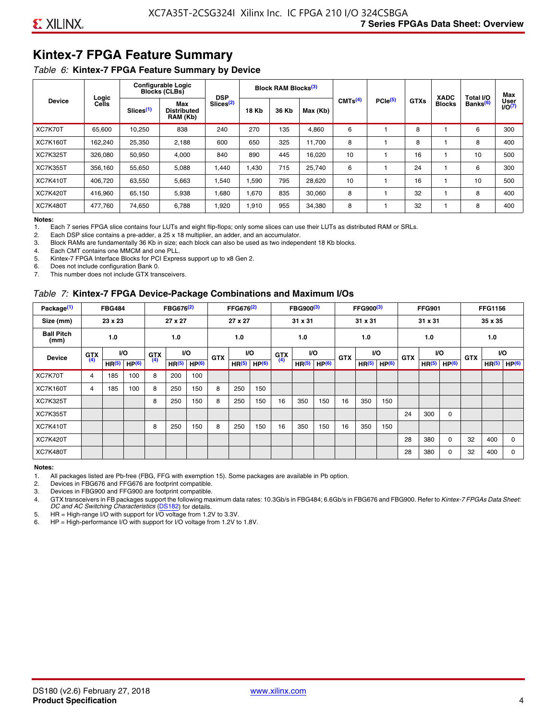# **Kintex-7 FPGA Feature Summary**

#### *Table 6:* **Kintex-7 FPGA Feature Summary by Device**

|                 |                |                       | <b>Configurable Logic</b><br><b>Blocks (CLBs)</b> | <b>DSP</b>            |              | Block RAM Blocks <sup>(3)</sup> |        |                     |                     |             | <b>XADC</b>   | Total I/O            | Max            |
|-----------------|----------------|-----------------------|---------------------------------------------------|-----------------------|--------------|---------------------------------|--------|---------------------|---------------------|-------------|---------------|----------------------|----------------|
| <b>Device</b>   | Logic<br>Cells | Slices <sup>(1)</sup> | Max<br>Distributed<br>RAM (Kb)                    | Slices <sup>(2)</sup> | <b>18 Kb</b> | 36 Kb<br>Max (Kb)<br>135<br>270 |        | CMTS <sup>(4)</sup> | PCle <sup>(5)</sup> | <b>GTXs</b> | <b>Blocks</b> | Banks <sup>(6)</sup> | User<br>1/O(7) |
| XC7K70T         | 65.600         | 10,250                | 838                                               | 240                   |              |                                 | 4,860  | 6                   |                     | 8           |               | 6                    | 300            |
| <b>XC7K160T</b> | 162,240        | 25,350                | 2,188                                             | 600                   | 650          | 325                             | 11,700 | 8                   |                     | 8           |               | 8                    | 400            |
| <b>XC7K325T</b> | 326.080        | 50,950                | 4,000                                             | 840                   | 890          | 445                             | 16,020 | 10                  |                     | 16          |               | 10                   | 500            |
| <b>XC7K355T</b> | 356.160        | 55,650                | 5,088                                             | 1.440                 | 1.430        | 715                             | 25,740 | 6                   |                     | 24          |               | 6                    | 300            |
| <b>XC7K410T</b> | 406.720        | 63,550                | 5,663                                             | .540                  | 1,590        | 795                             | 28,620 | 10                  |                     | 16          |               | 10                   | 500            |
| <b>XC7K420T</b> | 416.960        | 65.150                | 5,938                                             | 1,680                 | 1,670        | 835                             | 30,060 | 8                   |                     | 32          |               | 8                    | 400            |
| <b>XC7K480T</b> | 477,760        | 74,650                | 6,788                                             | 1,920                 | 1,910        | 955                             | 34,380 | 8                   |                     | 32          |               | 8                    | 400            |

#### **Notes:**

1. Each 7 series FPGA slice contains four LUTs and eight flip-flops; only some slices can use their LUTs as distributed RAM or SRLs.<br>2. Each DSP slice contains a pre-adder, a 25 x 18 multiplier, an adder, and an accumulato

Each DSP slice contains a pre-adder, a 25 x 18 multiplier, an adder, and an accumulator.

3. Block RAMs are fundamentally 36 Kb in size; each block can also be used as two independent 18 Kb blocks.

4. Each CMT contains one MMCM and one PLL.

5. Kintex-7 FPGA Interface Blocks for PCI Express support up to x8 Gen 2.

6. Does not include configuration Bank 0.

7. This number does not include GTX transceivers.

#### *Table 7:* **Kintex-7 FPGA Device-Package Combinations and Maximum I/Os**

| Package <sup>(1)</sup>    |            | <b>FBG484</b>     |                   |            | FBG676 <sup>(2)</sup> |                   |            | FFG676 <sup>(2)</sup> |                   |            | FBG900 <sup>(3)</sup> |                   |            | FFG900 <sup>(3)</sup> |                   |            | <b>FFG901</b>     |                   |            | <b>FFG1156</b>    |                   |
|---------------------------|------------|-------------------|-------------------|------------|-----------------------|-------------------|------------|-----------------------|-------------------|------------|-----------------------|-------------------|------------|-----------------------|-------------------|------------|-------------------|-------------------|------------|-------------------|-------------------|
| Size (mm)                 |            | 23 x 23           |                   |            | 27 x 27               |                   |            | 27 x 27               |                   |            | 31 x 31               |                   |            | 31 x 31               |                   |            | 31 x 31           |                   |            | 35 x 35           |                   |
| <b>Ball Pitch</b><br>(mm) |            | 1.0               |                   |            | 1.0                   |                   |            | 1.0                   |                   |            | 1.0                   |                   |            | 1.0                   |                   |            | 1.0               |                   |            | 1.0               |                   |
| <b>Device</b>             | <b>GTX</b> |                   | VO.               | <b>GTX</b> | I/O                   |                   | <b>GTX</b> |                       | <b>VO</b>         | <b>GTX</b> |                       | <b>VO</b>         | <b>GTX</b> |                       | <b>VO</b>         | <b>GTX</b> |                   | VO                | <b>GTX</b> | <b>VO</b>         |                   |
|                           | (4)        | HR <sup>(5)</sup> | HP <sup>(6)</sup> | (4)        | HR <sup>(5)</sup>     | HP <sup>(6)</sup> |            | HR <sup>(5)</sup>     | HP <sup>(6)</sup> | (4)        | HR <sup>(5)</sup>     | HP <sup>(6)</sup> |            | HR <sup>(5)</sup>     | HP <sup>(6)</sup> |            | HR <sup>(5)</sup> | HP <sup>(6)</sup> |            | HR <sup>(5)</sup> | HP <sup>(6)</sup> |
| XC7K70T                   | 4          | 185               | 100               | 8          | 200                   | 100               |            |                       |                   |            |                       |                   |            |                       |                   |            |                   |                   |            |                   |                   |
| <b>XC7K160T</b>           | 4          | 185               | 100               | 8          | 250                   | 150               | 8          | 250                   | 150               |            |                       |                   |            |                       |                   |            |                   |                   |            |                   |                   |
| <b>XC7K325T</b>           |            |                   |                   | 8          | 250                   | 150               | 8          | 250                   | 150               | 16         | 350                   | 150               | 16         | 350                   | 150               |            |                   |                   |            |                   |                   |
| <b>XC7K355T</b>           |            |                   |                   |            |                       |                   |            |                       |                   |            |                       |                   |            |                       |                   | 24         | 300               | 0                 |            |                   |                   |
| <b>XC7K410T</b>           |            |                   |                   | 8          | 250                   | 150               | 8          | 250                   | 150               | 16         | 350                   | 150               | 16         | 350                   | 150               |            |                   |                   |            |                   |                   |
| <b>XC7K420T</b>           |            |                   |                   |            |                       |                   |            |                       |                   |            |                       |                   |            |                       |                   | 28         | 380               | $\Omega$          | 32         | 400               | $\Omega$          |
| <b>XC7K480T</b>           |            |                   |                   |            |                       |                   |            |                       |                   |            |                       |                   |            |                       |                   | 28         | 380               | 0                 | 32         | 400               | $\Omega$          |

#### **Notes:**

1. All packages listed are Pb-free (FBG, FFG with exemption 15). Some packages are available in Pb option.

2. Devices in FBG676 and FFG676 are footprint compatible.

3. Devices in FBG900 and FFG900 are footprint compatible. 4. GTX transceivers in FB packages support the following maximum data rates: 10.3Gb/s in FBG484; 6.6Gb/s in FBG676 and FBG900. Refer to *Kintex-7 FPGAs Data Sheet: DC and AC Switching Characteristics* [\(DS182](https://www.xilinx.com/support/documentation/data_sheets/ds182_Kintex_7_Data_Sheet.pdf)) for details.

5. HR = High-range I/O with support for I/O voltage from 1.2V to 3.3V.

6. HP = High-performance I/O with support for I/O voltage from 1.2V to 1.8V.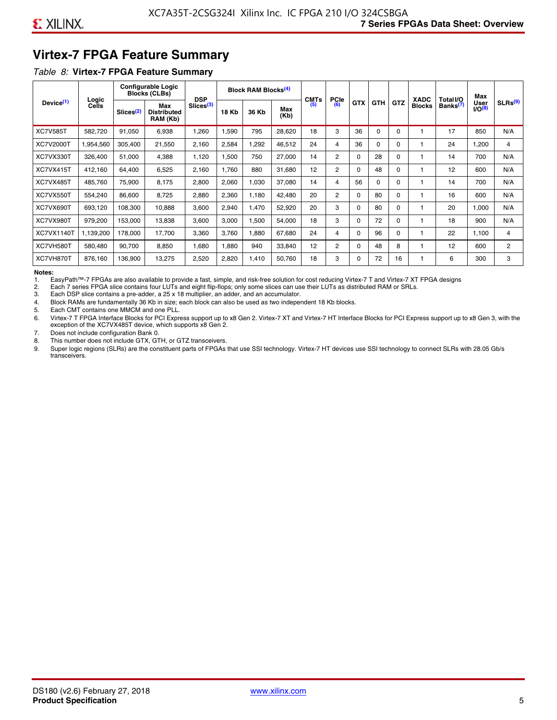# **Virtex-7 FPGA Feature Summary**

#### *Table 8:* **Virtex-7 FPGA Feature Summary**

|                       |                |                       | <b>Configurable Logic</b><br><b>Blocks (CLBs)</b> | <b>DSP</b>            |              | <b>Block RAM Blocks<sup>(4)</sup></b> |             | <b>CMTs</b> | <b>PCIe</b>    |            |            |          | <b>XADC</b>   | Total I/O            | Max                              |                     |
|-----------------------|----------------|-----------------------|---------------------------------------------------|-----------------------|--------------|---------------------------------------|-------------|-------------|----------------|------------|------------|----------|---------------|----------------------|----------------------------------|---------------------|
| Device <sup>(1)</sup> | Logic<br>Cells | Slices <sup>(2)</sup> | Max<br><b>Distributed</b><br>RAM (Kb)             | Slices <sup>(3)</sup> | <b>18 Kb</b> | 36 Kb                                 | Max<br>(Kb) | (5)         | (6)            | <b>GTX</b> | <b>GTH</b> | GTZ      | <b>Blocks</b> | Banks <sup>(7)</sup> | <b>User</b><br>IO <sup>(8)</sup> | SLRs <sup>(9)</sup> |
| <b>XC7V585T</b>       | 582.720        | 91,050                | 6,938                                             | .260                  | 1,590        | 795                                   | 28,620      | 18          | 3              | 36         | $\Omega$   | 0        |               | 17                   | 850                              | N/A                 |
| <b>XC7V2000T</b>      | 1,954,560      | 305,400               | 21,550                                            | 2,160                 | 2,584        | ,292                                  | 46,512      | 24          | 4              | 36         | $\Omega$   | $\Omega$ |               | 24                   | 1,200                            | 4                   |
| XC7VX330T             | 326,400        | 51,000                | 4,388                                             | 1,120                 | 1,500        | 750                                   | 27,000      | 14          | $\overline{2}$ | $\Omega$   | 28         | 0        |               | 14                   | 700                              | N/A                 |
| XC7VX415T             | 412.160        | 64.400                | 6,525                                             | 2,160                 | 1.760        | 880                                   | 31,680      | 12          | $\overline{2}$ | $\Omega$   | 48         | $\Omega$ |               | 12                   | 600                              | N/A                 |
| XC7VX485T             | 485,760        | 75,900                | 8,175                                             | 2,800                 | 2,060        | 1,030                                 | 37,080      | 14          | 4              | 56         | $\Omega$   | $\Omega$ |               | 14                   | 700                              | N/A                 |
| XC7VX550T             | 554,240        | 86,600                | 8,725                                             | 2,880                 | 2,360        | 1,180                                 | 42,480      | 20          | $\overline{2}$ | $\Omega$   | 80         | $\Omega$ |               | 16                   | 600                              | N/A                 |
| XC7VX690T             | 693,120        | 108,300               | 10,888                                            | 3,600                 | 2,940        | 1,470                                 | 52,920      | 20          | 3              | $\Omega$   | 80         | $\Omega$ |               | 20                   | 1,000                            | N/A                 |
| XC7VX980T             | 979,200        | 153,000               | 13,838                                            | 3,600                 | 3,000        | <b>.500</b>                           | 54,000      | 18          | 3              | $\Omega$   | 72         | $\Omega$ |               | 18                   | 900                              | N/A                 |
| <b>XC7VX1140T</b>     | 1,139,200      | 178.000               | 17.700                                            | 3,360                 | 3,760        | ,880                                  | 67,680      | 24          | 4              | $\Omega$   | 96         | $\Omega$ |               | 22                   | 1.100                            | 4                   |
| XC7VH580T             | 580,480        | 90,700                | 8,850                                             | <b>080.</b>           | 1,880        | 940                                   | 33,840      | 12          | 2              | $\Omega$   | 48         | 8        |               | 12                   | 600                              | $\overline{c}$      |
| XC7VH870T             | 876,160        | 136,900               | 13,275                                            | 2,520                 | 2,820        | 1,410                                 | 50,760      | 18          | 3              | $\Omega$   | 72         | 16       |               | 6                    | 300                              | 3                   |

#### **Notes:**

1. EasyPath™-7 FPGAs are also available to provide a fast, simple, and risk-free solution for cost reducing Virtex-7 T and Virtex-7 XT FPGA designs

2. Each 7 series FPGA slice contains four LUTs and eight flip-flops; only some slices can use their LUTs as distributed RAM or SRLs.

Each DSP slice contains a pre-adder, a 25 x 18 multiplier, an adder, and an accumulator.

4. Block RAMs are fundamentally 36 Kb in size; each block can also be used as two independent 18 Kb blocks.

5. Each CMT contains one MMCM and one PLL.

6. Virtex-7 T FPGA Interface Blocks for PCI Express support up to x8 Gen 2. Virtex-7 XT and Virtex-7 HT Interface Blocks for PCI Express support up to x8 Gen 3, with the exception of the XC7VX485T device, which supports x8 Gen 2.

7. Does not include configuration Bank 0.

8. This number does not include GTX, GTH, or GTZ transceivers.

9. Super logic regions (SLRs) are the constituent parts of FPGAs that use SSI technology. Virtex-7 HT devices use SSI technology to connect SLRs with 28.05 Gb/s transceivers.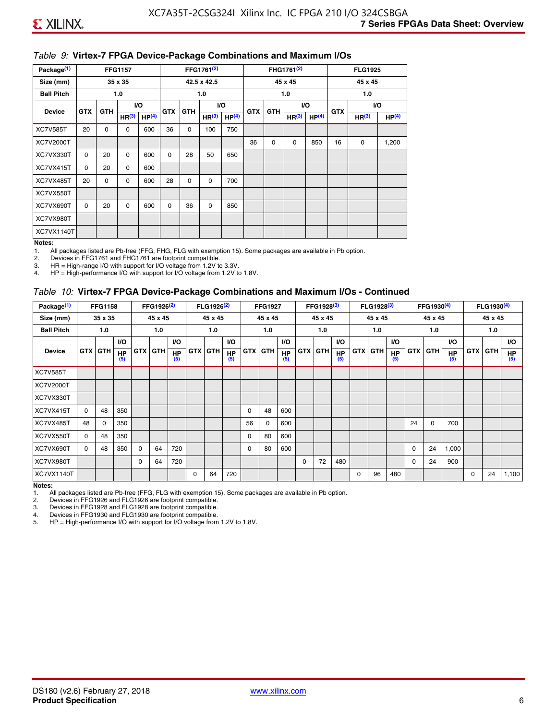#### *Table 9:* **Virtex-7 FPGA Device-Package Combinations and Maximum I/Os**

| Package <sup>(1)</sup> |            |                                                                                         | <b>FFG1157</b>    |                   |            |    | FFG1761 <sup>(2)</sup> |                   |    |             | FHG1761 <sup>(2)</sup> |                   |    | <b>FLG1925</b>    |                   |
|------------------------|------------|-----------------------------------------------------------------------------------------|-------------------|-------------------|------------|----|------------------------|-------------------|----|-------------|------------------------|-------------------|----|-------------------|-------------------|
| Size (mm)              |            |                                                                                         | 35 x 35           |                   |            |    | 42.5 x 42.5            |                   |    |             | 45 x 45                |                   |    | 45 x 45           |                   |
| <b>Ball Pitch</b>      |            |                                                                                         | 1.0               |                   |            |    | 1.0                    |                   |    |             | 1.0                    |                   |    | 1.0               |                   |
| <b>Device</b>          | <b>GTX</b> | VO.<br>I/O<br>VO.<br><b>GTX</b><br><b>GTH</b><br><b>GTH</b><br><b>GTX</b><br><b>GTH</b> |                   |                   | <b>GTX</b> |    | VO.                    |                   |    |             |                        |                   |    |                   |                   |
|                        |            |                                                                                         | HR <sup>(3)</sup> | HP <sup>(4)</sup> |            |    | HR <sup>(3)</sup>      | HP <sup>(4)</sup> |    |             | HR <sup>(3)</sup>      | HP <sup>(4)</sup> |    | HR <sup>(3)</sup> | HP <sup>(4)</sup> |
| <b>XC7V585T</b>        | 20         | $\mathbf 0$                                                                             | 0                 | 600               | 36         | 0  | 100                    | 750               |    |             |                        |                   |    |                   |                   |
| XC7V2000T              |            |                                                                                         |                   |                   |            |    |                        |                   | 36 | $\mathbf 0$ | $\mathbf 0$            | 850               | 16 | 0                 | 1,200             |
| XC7VX330T              | $\Omega$   | 20                                                                                      | $\Omega$          | 600               | $\Omega$   | 28 | 50                     | 650               |    |             |                        |                   |    |                   |                   |
| XC7VX415T              | $\Omega$   | 20                                                                                      | $\Omega$          | 600               |            |    |                        |                   |    |             |                        |                   |    |                   |                   |
| XC7VX485T              | 20         | 0                                                                                       | 0                 | 600               | 28         | 0  | 0                      | 700               |    |             |                        |                   |    |                   |                   |
| XC7VX550T              |            |                                                                                         |                   |                   |            |    |                        |                   |    |             |                        |                   |    |                   |                   |
| XC7VX690T              | $\Omega$   | 20                                                                                      | $\Omega$          | 600               | $\Omega$   | 36 | 0                      | 850               |    |             |                        |                   |    |                   |                   |
| XC7VX980T              |            |                                                                                         |                   |                   |            |    |                        |                   |    |             |                        |                   |    |                   |                   |
| XC7VX1140T             |            |                                                                                         |                   |                   |            |    |                        |                   |    |             |                        |                   |    |                   |                   |

#### **Notes:**

1. All packages listed are Pb-free (FFG, FHG, FLG with exemption 15). Some packages are available in Pb option.

2. Devices in FFG1761 and FHG1761 are footprint compatible.<br>3. HR = High-range I/O with support for I/O voltage from 1.2V to

HR = High-range I/O with support for I/O voltage from 1.2V to 3.3V.

4. HP = High-performance I/O with support for I/O voltage from 1.2V to 1.8V.

#### *Table 10:* **Virtex-7 FPGA Device-Package Combinations and Maximum I/Os - Continued**

| Package <sup>(1)</sup> |                | <b>FFG1158</b> |                  |            | FFG1926 <sup>(2)</sup> |                  |            | FLG1926 <sup>(2)</sup> |                  |          | <b>FFG1927</b> |                  |            | FFG1928 <sup>(3)</sup> |                  |            | FLG1928 <sup>(3)</sup> |                  |            | FFG1930 <sup>(4)</sup> |           |            | FLG1930 <sup>(4)</sup> |                  |
|------------------------|----------------|----------------|------------------|------------|------------------------|------------------|------------|------------------------|------------------|----------|----------------|------------------|------------|------------------------|------------------|------------|------------------------|------------------|------------|------------------------|-----------|------------|------------------------|------------------|
| Size (mm)              |                | 35 x 35        |                  |            | 45 x 45                |                  |            | 45 x 45                |                  |          | 45 x 45        |                  |            | 45 x 45                |                  |            | 45 x 45                |                  |            | 45 x 45                |           |            | 45 x 45                |                  |
| <b>Ball Pitch</b>      |                | 1.0            |                  |            | 1.0                    |                  |            | 1.0                    |                  |          | 1.0            |                  |            | 1.0                    |                  |            | 1.0                    |                  |            | 1.0                    |           |            | 1.0                    |                  |
|                        |                |                | <b>VO</b>        |            |                        | <b>VO</b>        |            |                        | VO.              |          |                | <b>VO</b>        |            |                        | <b>VO</b>        |            |                        | <b>VO</b>        |            |                        | <b>VO</b> |            |                        | I/O              |
| <b>Device</b>          | <b>GTX GTH</b> |                | <b>HP</b><br>(5) | <b>GTX</b> | <b>GTH</b>             | <b>HP</b><br>(5) | <b>GTX</b> | <b>GTH</b>             | <b>HP</b><br>(5) |          | <b>GTX GTH</b> | <b>HP</b><br>(5) | <b>GTX</b> | <b>GTH</b>             | <b>HP</b><br>(5) | <b>GTX</b> | <b>GTH</b>             | <b>HP</b><br>(5) | <b>GTX</b> | GTH                    | HP<br>(5) | <b>GTX</b> | GTH                    | <b>HP</b><br>(5) |
| <b>XC7V585T</b>        |                |                |                  |            |                        |                  |            |                        |                  |          |                |                  |            |                        |                  |            |                        |                  |            |                        |           |            |                        |                  |
| XC7V2000T              |                |                |                  |            |                        |                  |            |                        |                  |          |                |                  |            |                        |                  |            |                        |                  |            |                        |           |            |                        |                  |
| XC7VX330T              |                |                |                  |            |                        |                  |            |                        |                  |          |                |                  |            |                        |                  |            |                        |                  |            |                        |           |            |                        |                  |
| XC7VX415T              | $\Omega$       | 48             | 350              |            |                        |                  |            |                        |                  | $\Omega$ | 48             | 600              |            |                        |                  |            |                        |                  |            |                        |           |            |                        |                  |
| XC7VX485T              | 48             | 0              | 350              |            |                        |                  |            |                        |                  | 56       | 0              | 600              |            |                        |                  |            |                        |                  | 24         | 0                      | 700       |            |                        |                  |
| XC7VX550T              | 0              | 48             | 350              |            |                        |                  |            |                        |                  | 0        | 80             | 600              |            |                        |                  |            |                        |                  |            |                        |           |            |                        |                  |
| XC7VX690T              | $\Omega$       | 48             | 350              | $\Omega$   | 64                     | 720              |            |                        |                  | 0        | 80             | 600              |            |                        |                  |            |                        |                  | $\Omega$   | 24                     | 1,000     |            |                        |                  |
| XC7VX980T              |                |                |                  | $\Omega$   | 64                     | 720              |            |                        |                  |          |                |                  | $\Omega$   | 72                     | 480              |            |                        |                  | 0          | 24                     | 900       |            |                        |                  |
| XC7VX1140T             |                |                |                  |            |                        |                  | 0          | 64                     | 720              |          |                |                  |            |                        |                  | $\Omega$   | 96                     | 480              |            |                        |           | 0          | 24                     | 1,100            |

**Notes:** 

1. All packages listed are Pb-free (FFG, FLG with exemption 15). Some packages are available in Pb option.<br>2. Devices in FFG1926 and FLG1926 are footprint compatible.

2. Devices in FFG1926 and FLG1926 are footprint compatible.

3. Devices in FFG1928 and FLG1928 are footprint compatible.

4. Devices in FFG1930 and FLG1930 are footprint compatible.<br>5. HP = High-performance I/O with support for I/O voltage from HP = High-performance I/O with support for I/O voltage from 1.2V to 1.8V.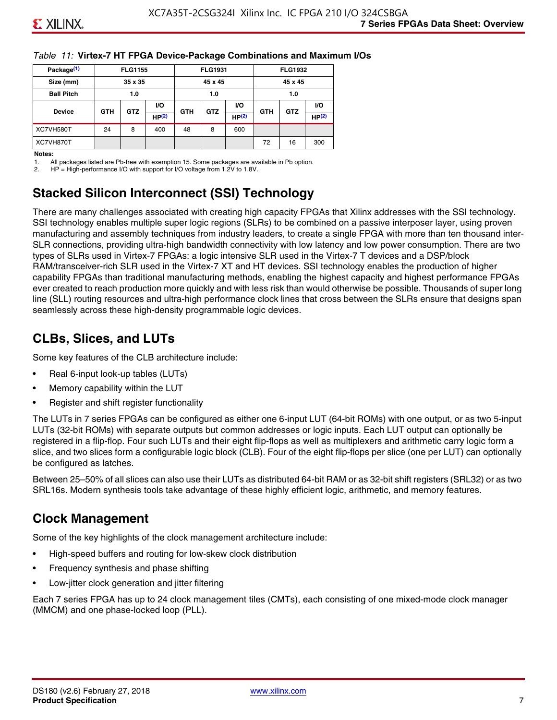#### *Table 11:* **Virtex-7 HT FPGA Device-Package Combinations and Maximum I/Os**

| Package <sup>(1)</sup> |            | <b>FLG1155</b> |       |            | <b>FLG1931</b> |       |            | <b>FLG1932</b> |                   |
|------------------------|------------|----------------|-------|------------|----------------|-------|------------|----------------|-------------------|
| Size (mm)              |            | 35 x 35        |       |            | 45 x 45        |       |            | 45 x 45        |                   |
| <b>Ball Pitch</b>      |            | 1.0            |       |            | 1.0            |       |            | 1.0            |                   |
|                        |            |                | VO.   |            | <b>VO</b>      |       |            |                | VO.               |
| <b>Device</b>          | <b>GTH</b> | <b>GTZ</b>     | HP(2) | <b>GTH</b> | <b>GTZ</b>     | HP(2) | <b>GTH</b> | <b>GTZ</b>     | HP <sup>(2)</sup> |
| XC7VH580T              | 24         | 8              | 400   | 48         | 8              | 600   |            |                |                   |
| XC7VH870T              |            |                |       |            |                |       | 72         | 16             | 300               |

#### **Notes:**

1. All packages listed are Pb-free with exemption 15. Some packages are available in Pb option.

2. HP = High-performance I/O with support for I/O voltage from 1.2V to 1.8V.

# **Stacked Silicon Interconnect (SSI) Technology**

There are many challenges associated with creating high capacity FPGAs that Xilinx addresses with the SSI technology. SSI technology enables multiple super logic regions (SLRs) to be combined on a passive interposer layer, using proven manufacturing and assembly techniques from industry leaders, to create a single FPGA with more than ten thousand inter-SLR connections, providing ultra-high bandwidth connectivity with low latency and low power consumption. There are two types of SLRs used in Virtex-7 FPGAs: a logic intensive SLR used in the Virtex-7 T devices and a DSP/block RAM/transceiver-rich SLR used in the Virtex-7 XT and HT devices. SSI technology enables the production of higher capability FPGAs than traditional manufacturing methods, enabling the highest capacity and highest performance FPGAs ever created to reach production more quickly and with less risk than would otherwise be possible. Thousands of super long line (SLL) routing resources and ultra-high performance clock lines that cross between the SLRs ensure that designs span seamlessly across these high-density programmable logic devices.

# **CLBs, Slices, and LUTs**

Some key features of the CLB architecture include:

- Real 6-input look-up tables (LUTs)
- Memory capability within the LUT
- Register and shift register functionality

The LUTs in 7 series FPGAs can be configured as either one 6-input LUT (64-bit ROMs) with one output, or as two 5-input LUTs (32-bit ROMs) with separate outputs but common addresses or logic inputs. Each LUT output can optionally be registered in a flip-flop. Four such LUTs and their eight flip-flops as well as multiplexers and arithmetic carry logic form a slice, and two slices form a configurable logic block (CLB). Four of the eight flip-flops per slice (one per LUT) can optionally be configured as latches.

Between 25–50% of all slices can also use their LUTs as distributed 64-bit RAM or as 32-bit shift registers (SRL32) or as two SRL16s. Modern synthesis tools take advantage of these highly efficient logic, arithmetic, and memory features.

# **Clock Management**

Some of the key highlights of the clock management architecture include:

- High-speed buffers and routing for low-skew clock distribution
- Frequency synthesis and phase shifting
- Low-jitter clock generation and jitter filtering

Each 7 series FPGA has up to 24 clock management tiles (CMTs), each consisting of one mixed-mode clock manager (MMCM) and one phase-locked loop (PLL).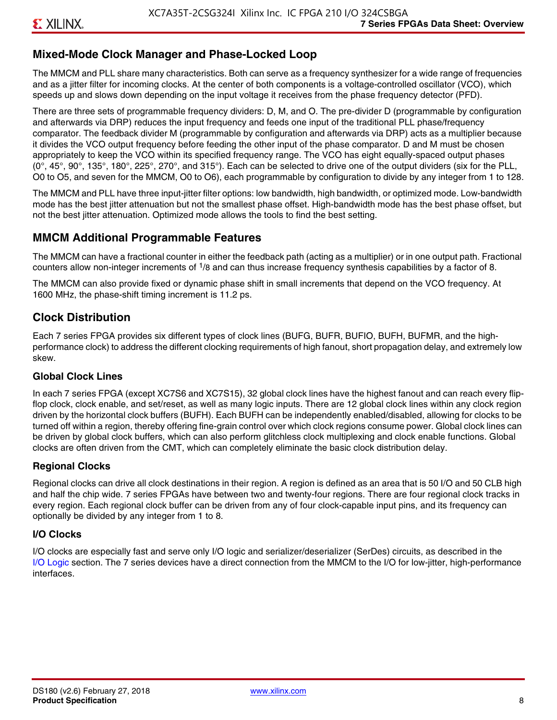# **Mixed-Mode Clock Manager and Phase-Locked Loop**

The MMCM and PLL share many characteristics. Both can serve as a frequency synthesizer for a wide range of frequencies and as a jitter filter for incoming clocks. At the center of both components is a voltage-controlled oscillator (VCO), which speeds up and slows down depending on the input voltage it receives from the phase frequency detector (PFD).

There are three sets of programmable frequency dividers: D, M, and O. The pre-divider D (programmable by configuration and afterwards via DRP) reduces the input frequency and feeds one input of the traditional PLL phase/frequency comparator. The feedback divider M (programmable by configuration and afterwards via DRP) acts as a multiplier because it divides the VCO output frequency before feeding the other input of the phase comparator. D and M must be chosen appropriately to keep the VCO within its specified frequency range. The VCO has eight equally-spaced output phases  $(0^\circ, 45^\circ, 90^\circ, 135^\circ, 180^\circ, 225^\circ, 270^\circ,$  and  $315^\circ$ ). Each can be selected to drive one of the output dividers (six for the PLL, O0 to O5, and seven for the MMCM, O0 to O6), each programmable by configuration to divide by any integer from 1 to 128.

The MMCM and PLL have three input-jitter filter options: low bandwidth, high bandwidth, or optimized mode. Low-bandwidth mode has the best jitter attenuation but not the smallest phase offset. High-bandwidth mode has the best phase offset, but not the best jitter attenuation. Optimized mode allows the tools to find the best setting.

### **MMCM Additional Programmable Features**

The MMCM can have a fractional counter in either the feedback path (acting as a multiplier) or in one output path. Fractional counters allow non-integer increments of  $1/8$  and can thus increase frequency synthesis capabilities by a factor of 8.

The MMCM can also provide fixed or dynamic phase shift in small increments that depend on the VCO frequency. At 1600 MHz, the phase-shift timing increment is 11.2 ps.

# **Clock Distribution**

Each 7 series FPGA provides six different types of clock lines (BUFG, BUFR, BUFIO, BUFH, BUFMR, and the highperformance clock) to address the different clocking requirements of high fanout, short propagation delay, and extremely low skew.

#### **Global Clock Lines**

In each 7 series FPGA (except XC7S6 and XC7S15), 32 global clock lines have the highest fanout and can reach every flipflop clock, clock enable, and set/reset, as well as many logic inputs. There are 12 global clock lines within any clock region driven by the horizontal clock buffers (BUFH). Each BUFH can be independently enabled/disabled, allowing for clocks to be turned off within a region, thereby offering fine-grain control over which clock regions consume power. Global clock lines can be driven by global clock buffers, which can also perform glitchless clock multiplexing and clock enable functions. Global clocks are often driven from the CMT, which can completely eliminate the basic clock distribution delay.

#### **Regional Clocks**

Regional clocks can drive all clock destinations in their region. A region is defined as an area that is 50 I/O and 50 CLB high and half the chip wide. 7 series FPGAs have between two and twenty-four regions. There are four regional clock tracks in every region. Each regional clock buffer can be driven from any of four clock-capable input pins, and its frequency can optionally be divided by any integer from 1 to 8.

#### **I/O Clocks**

I/O clocks are especially fast and serve only I/O logic and serializer/deserializer (SerDes) circuits, as described in the I/O Logic section. The 7 series devices have a direct connection from the MMCM to the I/O for low-jitter, high-performance interfaces.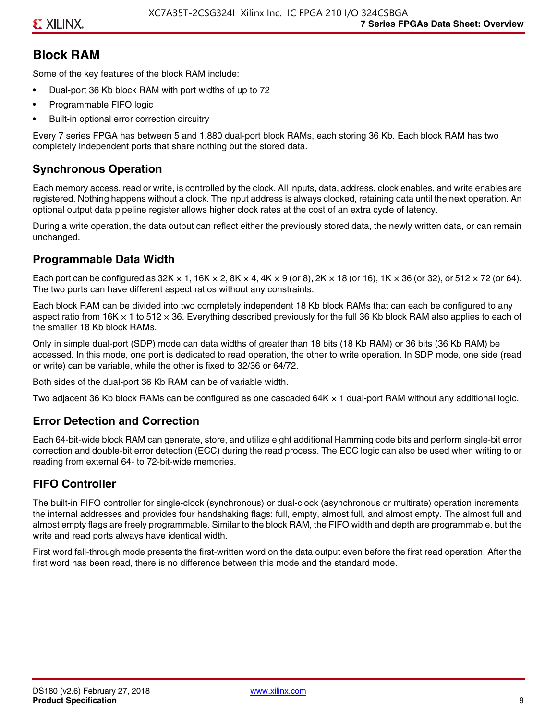# **Block RAM**

Some of the key features of the block RAM include:

- Dual-port 36 Kb block RAM with port widths of up to 72
- Programmable FIFO logic
- Built-in optional error correction circuitry

Every 7 series FPGA has between 5 and 1,880 dual-port block RAMs, each storing 36 Kb. Each block RAM has two completely independent ports that share nothing but the stored data.

# **Synchronous Operation**

Each memory access, read or write, is controlled by the clock. All inputs, data, address, clock enables, and write enables are registered. Nothing happens without a clock. The input address is always clocked, retaining data until the next operation. An optional output data pipeline register allows higher clock rates at the cost of an extra cycle of latency.

During a write operation, the data output can reflect either the previously stored data, the newly written data, or can remain unchanged.

# **Programmable Data Width**

Each port can be configured as 32K  $\times$  1, 16K  $\times$  2, 8K  $\times$  4, 4K  $\times$  9 (or 8), 2K  $\times$  18 (or 16), 1K  $\times$  36 (or 32), or 512  $\times$  72 (or 64). The two ports can have different aspect ratios without any constraints.

Each block RAM can be divided into two completely independent 18 Kb block RAMs that can each be configured to any aspect ratio from 16K  $\times$  1 to 512  $\times$  36. Everything described previously for the full 36 Kb block RAM also applies to each of the smaller 18 Kb block RAMs.

Only in simple dual-port (SDP) mode can data widths of greater than 18 bits (18 Kb RAM) or 36 bits (36 Kb RAM) be accessed. In this mode, one port is dedicated to read operation, the other to write operation. In SDP mode, one side (read or write) can be variable, while the other is fixed to 32/36 or 64/72.

Both sides of the dual-port 36 Kb RAM can be of variable width.

Two adjacent 36 Kb block RAMs can be configured as one cascaded 64K × 1 dual-port RAM without any additional logic.

## **Error Detection and Correction**

Each 64-bit-wide block RAM can generate, store, and utilize eight additional Hamming code bits and perform single-bit error correction and double-bit error detection (ECC) during the read process. The ECC logic can also be used when writing to or reading from external 64- to 72-bit-wide memories.

# **FIFO Controller**

The built-in FIFO controller for single-clock (synchronous) or dual-clock (asynchronous or multirate) operation increments the internal addresses and provides four handshaking flags: full, empty, almost full, and almost empty. The almost full and almost empty flags are freely programmable. Similar to the block RAM, the FIFO width and depth are programmable, but the write and read ports always have identical width.

First word fall-through mode presents the first-written word on the data output even before the first read operation. After the first word has been read, there is no difference between this mode and the standard mode.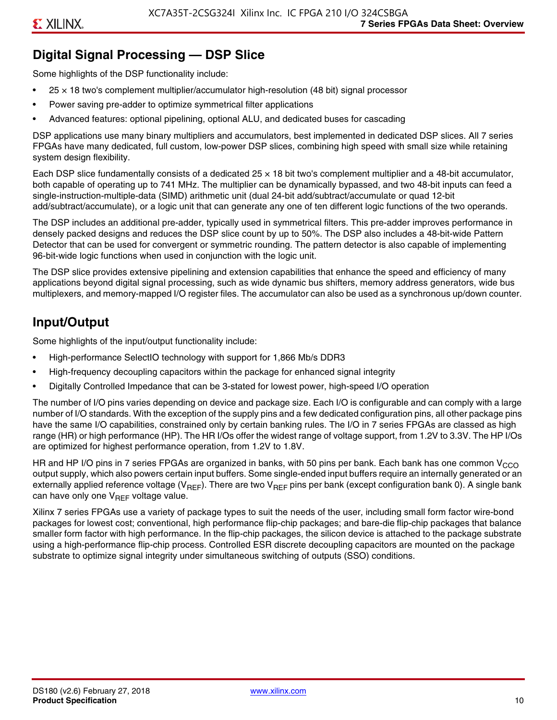# **Digital Signal Processing — DSP Slice**

Some highlights of the DSP functionality include:

- $25 \times 18$  two's complement multiplier/accumulator high-resolution (48 bit) signal processor
- Power saving pre-adder to optimize symmetrical filter applications
- Advanced features: optional pipelining, optional ALU, and dedicated buses for cascading

DSP applications use many binary multipliers and accumulators, best implemented in dedicated DSP slices. All 7 series FPGAs have many dedicated, full custom, low-power DSP slices, combining high speed with small size while retaining system design flexibility.

Each DSP slice fundamentally consists of a dedicated 25 × 18 bit two's complement multiplier and a 48-bit accumulator, both capable of operating up to 741 MHz. The multiplier can be dynamically bypassed, and two 48-bit inputs can feed a single-instruction-multiple-data (SIMD) arithmetic unit (dual 24-bit add/subtract/accumulate or quad 12-bit add/subtract/accumulate), or a logic unit that can generate any one of ten different logic functions of the two operands.

The DSP includes an additional pre-adder, typically used in symmetrical filters. This pre-adder improves performance in densely packed designs and reduces the DSP slice count by up to 50%. The DSP also includes a 48-bit-wide Pattern Detector that can be used for convergent or symmetric rounding. The pattern detector is also capable of implementing 96-bit-wide logic functions when used in conjunction with the logic unit.

The DSP slice provides extensive pipelining and extension capabilities that enhance the speed and efficiency of many applications beyond digital signal processing, such as wide dynamic bus shifters, memory address generators, wide bus multiplexers, and memory-mapped I/O register files. The accumulator can also be used as a synchronous up/down counter.

# **Input/Output**

Some highlights of the input/output functionality include:

- High-performance SelectIO technology with support for 1,866 Mb/s DDR3
- High-frequency decoupling capacitors within the package for enhanced signal integrity
- Digitally Controlled Impedance that can be 3-stated for lowest power, high-speed I/O operation

The number of I/O pins varies depending on device and package size. Each I/O is configurable and can comply with a large number of I/O standards. With the exception of the supply pins and a few dedicated configuration pins, all other package pins have the same I/O capabilities, constrained only by certain banking rules. The I/O in 7 series FPGAs are classed as high range (HR) or high performance (HP). The HR I/Os offer the widest range of voltage support, from 1.2V to 3.3V. The HP I/Os are optimized for highest performance operation, from 1.2V to 1.8V.

HR and HP I/O pins in 7 series FPGAs are organized in banks, with 50 pins per bank. Each bank has one common V<sub>CCO</sub> output supply, which also powers certain input buffers. Some single-ended input buffers require an internally generated or an externally applied reference voltage ( $V_{RFF}$ ). There are two  $V_{RFF}$  pins per bank (except configuration bank 0). A single bank can have only one  $V_{\text{RFF}}$  voltage value.

Xilinx 7 series FPGAs use a variety of package types to suit the needs of the user, including small form factor wire-bond packages for lowest cost; conventional, high performance flip-chip packages; and bare-die flip-chip packages that balance smaller form factor with high performance. In the flip-chip packages, the silicon device is attached to the package substrate using a high-performance flip-chip process. Controlled ESR discrete decoupling capacitors are mounted on the package substrate to optimize signal integrity under simultaneous switching of outputs (SSO) conditions.

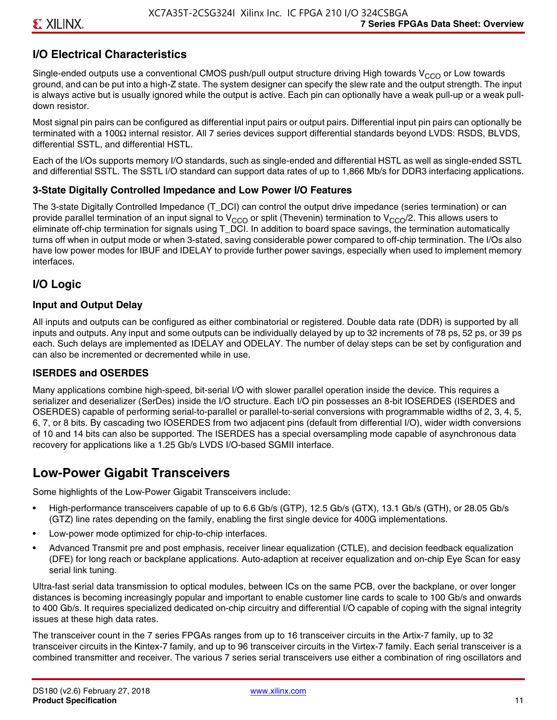# **I/O Electrical Characteristics**

Single-ended outputs use a conventional CMOS push/pull output structure driving High towards  $V_{CCO}$  or Low towards ground, and can be put into a high-Z state. The system designer can specify the slew rate and the output strength. The input is always active but is usually ignored while the output is active. Each pin can optionally have a weak pull-up or a weak pulldown resistor.

Most signal pin pairs can be configured as differential input pairs or output pairs. Differential input pin pairs can optionally be terminated with a 100Ω internal resistor. All 7 series devices support differential standards beyond LVDS: RSDS, BLVDS, differential SSTL, and differential HSTL.

Each of the I/Os supports memory I/O standards, such as single-ended and differential HSTL as well as single-ended SSTL and differential SSTL. The SSTL I/O standard can support data rates of up to 1,866 Mb/s for DDR3 interfacing applications.

#### **3-State Digitally Controlled Impedance and Low Power I/O Features**

The 3-state Digitally Controlled Impedance (T\_DCI) can control the output drive impedance (series termination) or can provide parallel termination of an input signal to V<sub>CCO</sub> or split (Thevenin) termination to V<sub>CCO</sub>/2. This allows users to eliminate off-chip termination for signals using T\_DCI. In addition to board space savings, the termination automatically turns off when in output mode or when 3-stated, saving considerable power compared to off-chip termination. The I/Os also have low power modes for IBUF and IDELAY to provide further power savings, especially when used to implement memory interfaces.

# **I/O Logic**

#### **Input and Output Delay**

All inputs and outputs can be configured as either combinatorial or registered. Double data rate (DDR) is supported by all inputs and outputs. Any input and some outputs can be individually delayed by up to 32 increments of 78 ps, 52 ps, or 39 ps each. Such delays are implemented as IDELAY and ODELAY. The number of delay steps can be set by configuration and can also be incremented or decremented while in use.

#### **ISERDES and OSERDES**

Many applications combine high-speed, bit-serial I/O with slower parallel operation inside the device. This requires a serializer and deserializer (SerDes) inside the I/O structure. Each I/O pin possesses an 8-bit IOSERDES (ISERDES and OSERDES) capable of performing serial-to-parallel or parallel-to-serial conversions with programmable widths of 2, 3, 4, 5, 6, 7, or 8 bits. By cascading two IOSERDES from two adjacent pins (default from differential I/O), wider width conversions of 10 and 14 bits can also be supported. The ISERDES has a special oversampling mode capable of asynchronous data recovery for applications like a 1.25 Gb/s LVDS I/O-based SGMII interface.

# **Low-Power Gigabit Transceivers**

Some highlights of the Low-Power Gigabit Transceivers include:

- High-performance transceivers capable of up to 6.6 Gb/s (GTP), 12.5 Gb/s (GTX), 13.1 Gb/s (GTH), or 28.05 Gb/s (GTZ) line rates depending on the family, enabling the first single device for 400G implementations.
- Low-power mode optimized for chip-to-chip interfaces.
- Advanced Transmit pre and post emphasis, receiver linear equalization (CTLE), and decision feedback equalization (DFE) for long reach or backplane applications. Auto-adaption at receiver equalization and on-chip Eye Scan for easy serial link tuning.

Ultra-fast serial data transmission to optical modules, between ICs on the same PCB, over the backplane, or over longer distances is becoming increasingly popular and important to enable customer line cards to scale to 100 Gb/s and onwards to 400 Gb/s. It requires specialized dedicated on-chip circuitry and differential I/O capable of coping with the signal integrity issues at these high data rates.

The transceiver count in the 7 series FPGAs ranges from up to 16 transceiver circuits in the Artix-7 family, up to 32 transceiver circuits in the Kintex-7 family, and up to 96 transceiver circuits in the Virtex-7 family. Each serial transceiver is a combined transmitter and receiver. The various 7 series serial transceivers use either a combination of ring oscillators and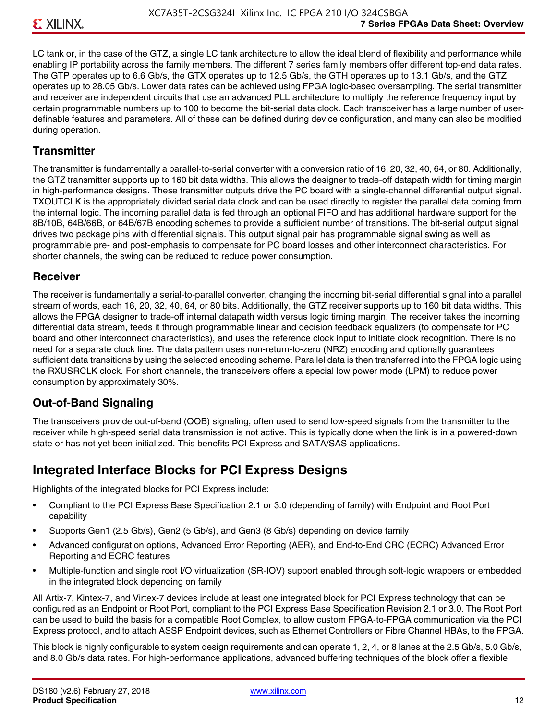LC tank or, in the case of the GTZ, a single LC tank architecture to allow the ideal blend of flexibility and performance while enabling IP portability across the family members. The different 7 series family members offer different top-end data rates. The GTP operates up to 6.6 Gb/s, the GTX operates up to 12.5 Gb/s, the GTH operates up to 13.1 Gb/s, and the GTZ operates up to 28.05 Gb/s. Lower data rates can be achieved using FPGA logic-based oversampling. The serial transmitter and receiver are independent circuits that use an advanced PLL architecture to multiply the reference frequency input by certain programmable numbers up to 100 to become the bit-serial data clock. Each transceiver has a large number of userdefinable features and parameters. All of these can be defined during device configuration, and many can also be modified during operation.

# **Transmitter**

The transmitter is fundamentally a parallel-to-serial converter with a conversion ratio of 16, 20, 32, 40, 64, or 80. Additionally, the GTZ transmitter supports up to 160 bit data widths. This allows the designer to trade-off datapath width for timing margin in high-performance designs. These transmitter outputs drive the PC board with a single-channel differential output signal. TXOUTCLK is the appropriately divided serial data clock and can be used directly to register the parallel data coming from the internal logic. The incoming parallel data is fed through an optional FIFO and has additional hardware support for the 8B/10B, 64B/66B, or 64B/67B encoding schemes to provide a sufficient number of transitions. The bit-serial output signal drives two package pins with differential signals. This output signal pair has programmable signal swing as well as programmable pre- and post-emphasis to compensate for PC board losses and other interconnect characteristics. For shorter channels, the swing can be reduced to reduce power consumption.

### **Receiver**

The receiver is fundamentally a serial-to-parallel converter, changing the incoming bit-serial differential signal into a parallel stream of words, each 16, 20, 32, 40, 64, or 80 bits. Additionally, the GTZ receiver supports up to 160 bit data widths. This allows the FPGA designer to trade-off internal datapath width versus logic timing margin. The receiver takes the incoming differential data stream, feeds it through programmable linear and decision feedback equalizers (to compensate for PC board and other interconnect characteristics), and uses the reference clock input to initiate clock recognition. There is no need for a separate clock line. The data pattern uses non-return-to-zero (NRZ) encoding and optionally guarantees sufficient data transitions by using the selected encoding scheme. Parallel data is then transferred into the FPGA logic using the RXUSRCLK clock. For short channels, the transceivers offers a special low power mode (LPM) to reduce power consumption by approximately 30%.

# **Out-of-Band Signaling**

The transceivers provide out-of-band (OOB) signaling, often used to send low-speed signals from the transmitter to the receiver while high-speed serial data transmission is not active. This is typically done when the link is in a powered-down state or has not yet been initialized. This benefits PCI Express and SATA/SAS applications.

# **Integrated Interface Blocks for PCI Express Designs**

Highlights of the integrated blocks for PCI Express include:

- Compliant to the PCI Express Base Specification 2.1 or 3.0 (depending of family) with Endpoint and Root Port capability
- Supports Gen1 (2.5 Gb/s), Gen2 (5 Gb/s), and Gen3 (8 Gb/s) depending on device family
- Advanced configuration options, Advanced Error Reporting (AER), and End-to-End CRC (ECRC) Advanced Error Reporting and ECRC features
- Multiple-function and single root I/O virtualization (SR-IOV) support enabled through soft-logic wrappers or embedded in the integrated block depending on family

All Artix-7, Kintex-7, and Virtex-7 devices include at least one integrated block for PCI Express technology that can be configured as an Endpoint or Root Port, compliant to the PCI Express Base Specification Revision 2.1 or 3.0. The Root Port can be used to build the basis for a compatible Root Complex, to allow custom FPGA-to-FPGA communication via the PCI Express protocol, and to attach ASSP Endpoint devices, such as Ethernet Controllers or Fibre Channel HBAs, to the FPGA.

This block is highly configurable to system design requirements and can operate 1, 2, 4, or 8 lanes at the 2.5 Gb/s, 5.0 Gb/s, and 8.0 Gb/s data rates. For high-performance applications, advanced buffering techniques of the block offer a flexible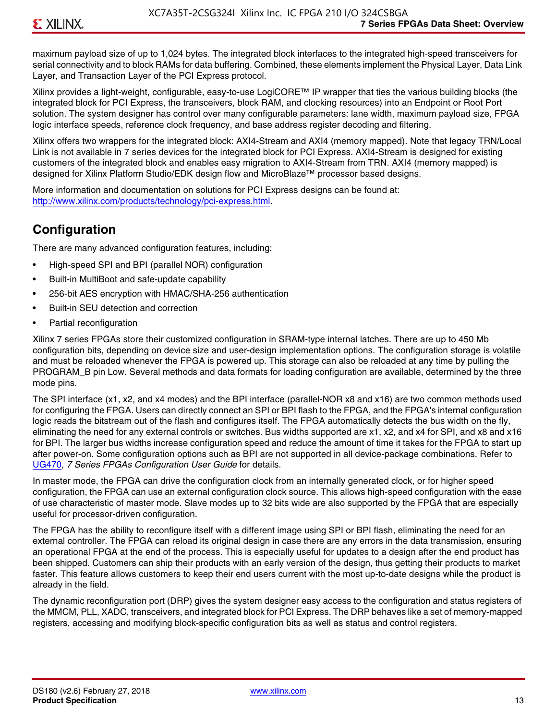maximum payload size of up to 1,024 bytes. The integrated block interfaces to the integrated high-speed transceivers for serial connectivity and to block RAMs for data buffering. Combined, these elements implement the Physical Layer, Data Link Layer, and Transaction Layer of the PCI Express protocol.

Xilinx provides a light-weight, configurable, easy-to-use LogiCORE™ IP wrapper that ties the various building blocks (the integrated block for PCI Express, the transceivers, block RAM, and clocking resources) into an Endpoint or Root Port solution. The system designer has control over many configurable parameters: lane width, maximum payload size, FPGA logic interface speeds, reference clock frequency, and base address register decoding and filtering.

Xilinx offers two wrappers for the integrated block: AXI4-Stream and AXI4 (memory mapped). Note that legacy TRN/Local Link is not available in 7 series devices for the integrated block for PCI Express. AXI4-Stream is designed for existing customers of the integrated block and enables easy migration to AXI4-Stream from TRN. AXI4 (memory mapped) is designed for Xilinx Platform Studio/EDK design flow and MicroBlaze™ processor based designs.

More information and documentation on solutions for PCI Express designs can be found at: <http://www.xilinx.com/products/technology/pci-express.html>.

# **Configuration**

There are many advanced configuration features, including:

- High-speed SPI and BPI (parallel NOR) configuration
- Built-in MultiBoot and safe-update capability
- 256-bit AES encryption with HMAC/SHA-256 authentication
- Built-in SEU detection and correction
- Partial reconfiguration

Xilinx 7 series FPGAs store their customized configuration in SRAM-type internal latches. There are up to 450 Mb configuration bits, depending on device size and user-design implementation options. The configuration storage is volatile and must be reloaded whenever the FPGA is powered up. This storage can also be reloaded at any time by pulling the PROGRAM B pin Low. Several methods and data formats for loading configuration are available, determined by the three mode pins.

The SPI interface (x1, x2, and x4 modes) and the BPI interface (parallel-NOR x8 and x16) are two common methods used for configuring the FPGA. Users can directly connect an SPI or BPI flash to the FPGA, and the FPGA's internal configuration logic reads the bitstream out of the flash and configures itself. The FPGA automatically detects the bus width on the fly, eliminating the need for any external controls or switches. Bus widths supported are x1, x2, and x4 for SPI, and x8 and x16 for BPI. The larger bus widths increase configuration speed and reduce the amount of time it takes for the FPGA to start up after power-on. Some configuration options such as BPI are not supported in all device-package combinations. Refer to [UG470,](http://www.xilinx.com/support/documentation/user_guides/ug470_7Series_Config.pdf) *7 Series FPGAs Configuration User Guide* for details.

In master mode, the FPGA can drive the configuration clock from an internally generated clock, or for higher speed configuration, the FPGA can use an external configuration clock source. This allows high-speed configuration with the ease of use characteristic of master mode. Slave modes up to 32 bits wide are also supported by the FPGA that are especially useful for processor-driven configuration.

The FPGA has the ability to reconfigure itself with a different image using SPI or BPI flash, eliminating the need for an external controller. The FPGA can reload its original design in case there are any errors in the data transmission, ensuring an operational FPGA at the end of the process. This is especially useful for updates to a design after the end product has been shipped. Customers can ship their products with an early version of the design, thus getting their products to market faster. This feature allows customers to keep their end users current with the most up-to-date designs while the product is already in the field.

The dynamic reconfiguration port (DRP) gives the system designer easy access to the configuration and status registers of the MMCM, PLL, XADC, transceivers, and integrated block for PCI Express. The DRP behaves like a set of memory-mapped registers, accessing and modifying block-specific configuration bits as well as status and control registers.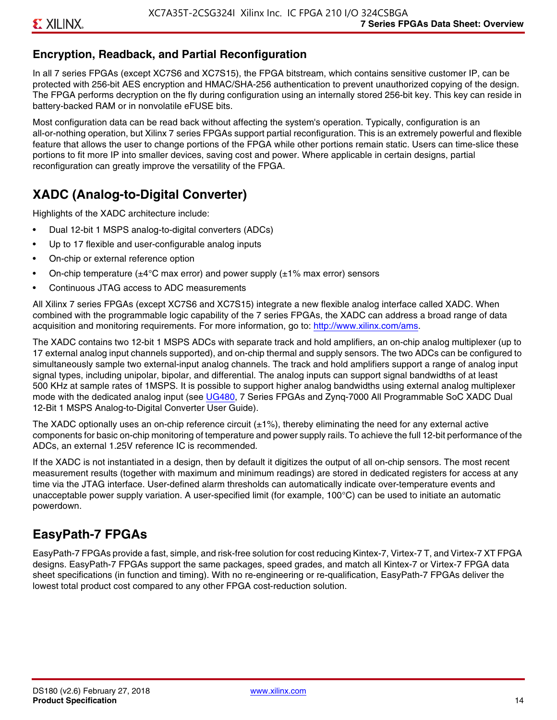# **Encryption, Readback, and Partial Reconfiguration**

In all 7 series FPGAs (except XC7S6 and XC7S15), the FPGA bitstream, which contains sensitive customer IP, can be protected with 256-bit AES encryption and HMAC/SHA-256 authentication to prevent unauthorized copying of the design. The FPGA performs decryption on the fly during configuration using an internally stored 256-bit key. This key can reside in battery-backed RAM or in nonvolatile eFUSE bits.

Most configuration data can be read back without affecting the system's operation. Typically, configuration is an all-or-nothing operation, but Xilinx 7 series FPGAs support partial reconfiguration. This is an extremely powerful and flexible feature that allows the user to change portions of the FPGA while other portions remain static. Users can time-slice these portions to fit more IP into smaller devices, saving cost and power. Where applicable in certain designs, partial reconfiguration can greatly improve the versatility of the FPGA.

# **XADC (Analog-to-Digital Converter)**

Highlights of the XADC architecture include:

- Dual 12-bit 1 MSPS analog-to-digital converters (ADCs)
- Up to 17 flexible and user-configurable analog inputs
- On-chip or external reference option
- On-chip temperature ( $\pm 4^{\circ}$ C max error) and power supply ( $\pm 1\%$  max error) sensors
- Continuous JTAG access to ADC measurements

All Xilinx 7 series FPGAs (except XC7S6 and XC7S15) integrate a new flexible analog interface called XADC. When combined with the programmable logic capability of the 7 series FPGAs, the XADC can address a broad range of data acquisition and monitoring requirements. For more information, go to: [http://www.xilinx.com/ams.](http://www.xilinx.com/ams)

The XADC contains two 12-bit 1 MSPS ADCs with separate track and hold amplifiers, an on-chip analog multiplexer (up to 17 external analog input channels supported), and on-chip thermal and supply sensors. The two ADCs can be configured to simultaneously sample two external-input analog channels. The track and hold amplifiers support a range of analog input signal types, including unipolar, bipolar, and differential. The analog inputs can support signal bandwidths of at least 500 KHz at sample rates of 1MSPS. It is possible to support higher analog bandwidths using external analog multiplexer mode with the dedicated analog input (see [UG480](http://www.xilinx.com/support/documentation/user_guides/ug480_7Series_XADC.pdf), 7 Series FPGAs and Zynq-7000 All Programmable SoC XADC Dual 12-Bit 1 MSPS Analog-to-Digital Converter User Guide)*.*

The XADC optionally uses an on-chip reference circuit  $(\pm 1\%)$ , thereby eliminating the need for any external active components for basic on-chip monitoring of temperature and power supply rails. To achieve the full 12-bit performance of the ADCs, an external 1.25V reference IC is recommended.

If the XADC is not instantiated in a design, then by default it digitizes the output of all on-chip sensors. The most recent measurement results (together with maximum and minimum readings) are stored in dedicated registers for access at any time via the JTAG interface. User-defined alarm thresholds can automatically indicate over-temperature events and unacceptable power supply variation. A user-specified limit (for example, 100°C) can be used to initiate an automatic powerdown.

# **EasyPath-7 FPGAs**

EasyPath-7 FPGAs provide a fast, simple, and risk-free solution for cost reducing Kintex-7, Virtex-7 T, and Virtex-7 XT FPGA designs. EasyPath-7 FPGAs support the same packages, speed grades, and match all Kintex-7 or Virtex-7 FPGA data sheet specifications (in function and timing). With no re-engineering or re-qualification, EasyPath-7 FPGAs deliver the lowest total product cost compared to any other FPGA cost-reduction solution.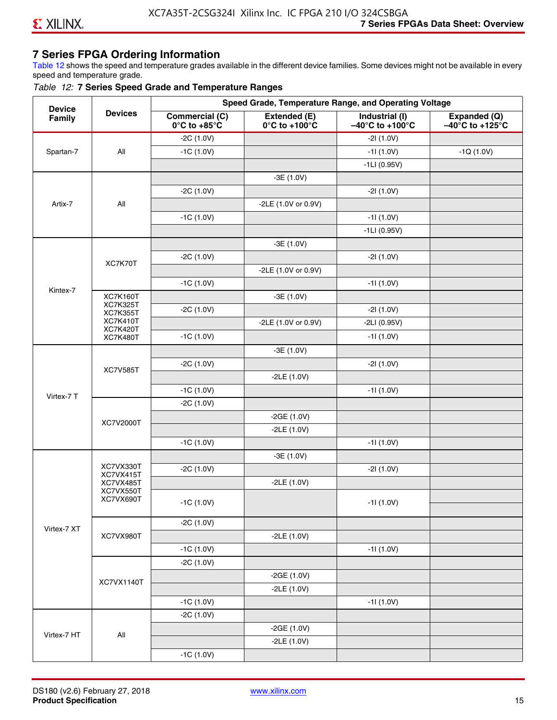# **7 Series FPGA Ordering Information**

Table 12 shows the speed and temperature grades available in the different device families. Some devices might not be available in every speed and temperature grade.

#### *Table 12:* **7 Series Speed Grade and Temperature Ranges**

| <b>Device</b> |                                    |                                                        |                                                    | Speed Grade, Temperature Range, and Operating Voltage  |                                                      |
|---------------|------------------------------------|--------------------------------------------------------|----------------------------------------------------|--------------------------------------------------------|------------------------------------------------------|
| Family        | <b>Devices</b>                     | <b>Commercial (C)</b><br>$0^\circ$ C to +85 $^\circ$ C | Extended (E)<br>$0^{\circ}$ C to +100 $^{\circ}$ C | Industrial (I)<br>$-40^{\circ}$ C to +100 $^{\circ}$ C | Expanded (Q)<br>$-40^{\circ}$ C to +125 $^{\circ}$ C |
|               |                                    | $-2C(1.0V)$                                            |                                                    | $-21(1.0V)$                                            |                                                      |
| Spartan-7     | All                                | $-1C(1.0V)$                                            |                                                    | $-11(1.0V)$                                            | $-1Q(1.0V)$                                          |
|               |                                    |                                                        |                                                    | $-1LI(0.95V)$                                          |                                                      |
|               |                                    |                                                        | $-3E(1.0V)$                                        |                                                        |                                                      |
|               |                                    | $-2C(1.0V)$                                            |                                                    | $-21(1.0V)$                                            |                                                      |
| Artix-7       | All                                |                                                        | -2LE (1.0V or 0.9V)                                |                                                        |                                                      |
|               |                                    | $-1C(1.0V)$                                            |                                                    | $-11(1.0V)$                                            |                                                      |
|               |                                    |                                                        |                                                    | $-1LI(0.95V)$                                          |                                                      |
|               |                                    |                                                        | $-3E(1.0V)$                                        |                                                        |                                                      |
|               |                                    | $-2C(1.0V)$                                            |                                                    | $-21(1.0V)$                                            |                                                      |
|               | XC7K70T                            |                                                        | -2LE (1.0V or 0.9V)                                |                                                        |                                                      |
|               |                                    | $-1C(1.0V)$                                            |                                                    | $-11(1.0V)$                                            |                                                      |
| Kintex-7      | <b>XC7K160T</b>                    |                                                        | $-3E(1.0V)$                                        |                                                        |                                                      |
|               | <b>XC7K325T</b><br><b>XC7K355T</b> | $-2C(1.0V)$                                            |                                                    | $-21(1.0V)$                                            |                                                      |
|               | <b>XC7K410T</b>                    |                                                        | -2LE (1.0V or 0.9V)                                | $-2LI(0.95V)$                                          |                                                      |
|               | <b>XC7K420T</b><br><b>XC7K480T</b> | $-1C(1.0V)$                                            |                                                    | $-11(1.0V)$                                            |                                                      |
|               |                                    |                                                        | $-3E(1.0V)$                                        |                                                        |                                                      |
|               |                                    | $-2C(1.0V)$                                            |                                                    | $-21(1.0V)$                                            |                                                      |
|               | <b>XC7V585T</b>                    |                                                        | $-2LE(1.0V)$                                       |                                                        |                                                      |
|               |                                    | $-1C(1.0V)$                                            |                                                    | $-11(1.0V)$                                            |                                                      |
| Virtex-7 T    |                                    | $-2C(1.0V)$                                            |                                                    |                                                        |                                                      |
|               |                                    |                                                        | $-2GE(1.0V)$                                       |                                                        |                                                      |
|               | XC7V2000T                          |                                                        | $-2LE(1.0V)$                                       |                                                        |                                                      |
|               |                                    | $-1C(1.0V)$                                            |                                                    | $-11(1.0V)$                                            |                                                      |
|               |                                    |                                                        | $-3E(1.0V)$                                        |                                                        |                                                      |
|               | XC7VX330T                          | $-2C(1.0V)$                                            |                                                    | $-21(1.0V)$                                            |                                                      |
|               | XC7VX415T<br>XC7VX485T             |                                                        | $-2LE(1.0V)$                                       |                                                        |                                                      |
|               | XC7VX550T<br>XC7VX690T             |                                                        |                                                    |                                                        |                                                      |
|               |                                    | $-1C(1.0V)$                                            |                                                    | -11 (1.0V)                                             |                                                      |
|               |                                    | $-2C(1.0V)$                                            |                                                    |                                                        |                                                      |
| Virtex-7 XT   | XC7VX980T                          |                                                        | $-2LE(1.0V)$                                       |                                                        |                                                      |
|               |                                    | $-1C(1.0V)$                                            |                                                    | $-11(1.0V)$                                            |                                                      |
|               |                                    | $-2C(1.0V)$                                            |                                                    |                                                        |                                                      |
|               |                                    |                                                        | $-2GE(1.0V)$                                       |                                                        |                                                      |
|               | XC7VX1140T                         |                                                        | $-2LE(1.0V)$                                       |                                                        |                                                      |
|               |                                    | $-1C(1.0V)$                                            |                                                    | $-11(1.0V)$                                            |                                                      |
|               |                                    | $-2C(1.0V)$                                            |                                                    |                                                        |                                                      |
|               |                                    |                                                        | $-2GE(1.0V)$                                       |                                                        |                                                      |
| Virtex-7 HT   | All                                |                                                        | $-2LE(1.0V)$                                       |                                                        |                                                      |
|               |                                    | $-1C(1.0V)$                                            |                                                    |                                                        |                                                      |
|               |                                    |                                                        |                                                    |                                                        |                                                      |

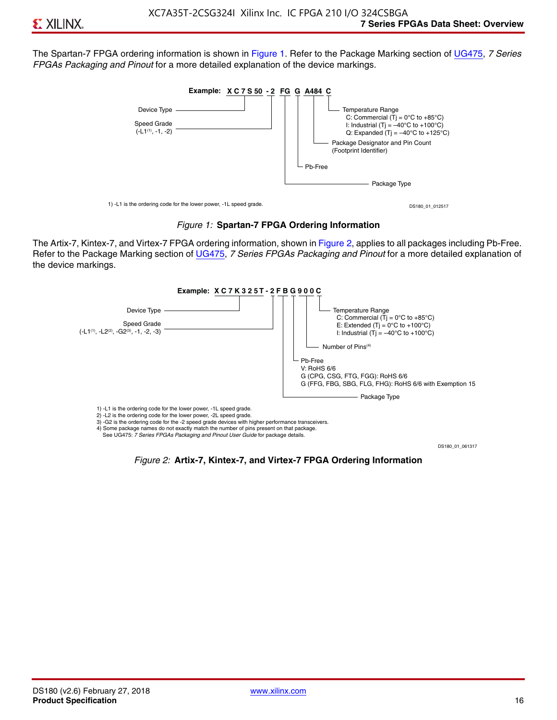The Spartan-7 FPGA ordering information is shown in Figure 1. Refer to the Package Marking section of [UG475,](http://www.xilinx.com/support/documentation/user_guides/ug475_7Series_Pkg_Pinout.pdf) *7 Series FPGAs Packaging and Pinout* for a more detailed explanation of the device markings.





The Artix-7, Kintex-7, and Virtex-7 FPGA ordering information, shown in Figure 2, applies to all packages including Pb-Free. Refer to the Package Marking section of [UG475](http://www.xilinx.com/support/documentation/user_guides/ug475_7Series_Pkg_Pinout.pdf), *7 Series FPGAs Packaging and Pinout* for a more detailed explanation of the device markings.



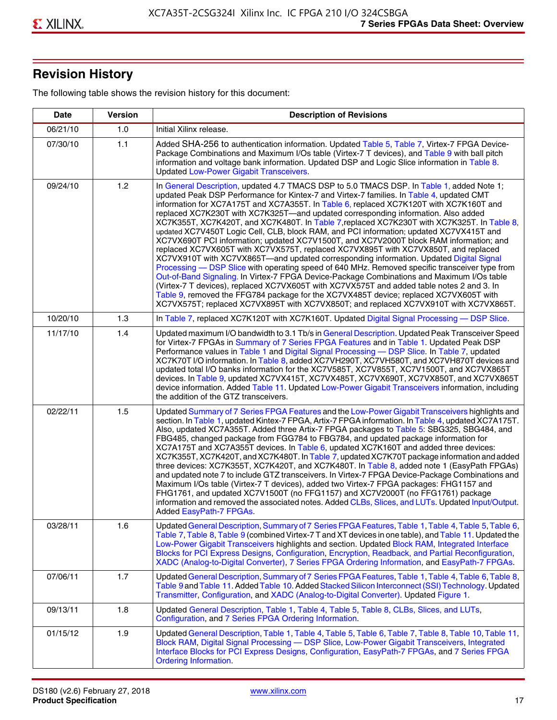# **Revision History**

The following table shows the revision history for this document:

| <b>Date</b> | <b>Version</b> | <b>Description of Revisions</b>                                                                                                                                                                                                                                                                                                                                                                                                                                                                                                                                                                                                                                                                                                                                                                                                                                                                                                                                                                                                                                                                                                                                                                                                                                                                                       |
|-------------|----------------|-----------------------------------------------------------------------------------------------------------------------------------------------------------------------------------------------------------------------------------------------------------------------------------------------------------------------------------------------------------------------------------------------------------------------------------------------------------------------------------------------------------------------------------------------------------------------------------------------------------------------------------------------------------------------------------------------------------------------------------------------------------------------------------------------------------------------------------------------------------------------------------------------------------------------------------------------------------------------------------------------------------------------------------------------------------------------------------------------------------------------------------------------------------------------------------------------------------------------------------------------------------------------------------------------------------------------|
| 06/21/10    | 1.0            | Initial Xilinx release.                                                                                                                                                                                                                                                                                                                                                                                                                                                                                                                                                                                                                                                                                                                                                                                                                                                                                                                                                                                                                                                                                                                                                                                                                                                                                               |
| 07/30/10    | 1.1            | Added SHA-256 to authentication information. Updated Table 5, Table 7, Virtex-7 FPGA Device-<br>Package Combinations and Maximum I/Os table (Virtex-7 T devices), and Table 9 with ball pitch<br>information and voltage bank information. Updated DSP and Logic Slice information in Table 8.<br><b>Updated Low-Power Gigabit Transceivers.</b>                                                                                                                                                                                                                                                                                                                                                                                                                                                                                                                                                                                                                                                                                                                                                                                                                                                                                                                                                                      |
| 09/24/10    | 1.2            | In General Description, updated 4.7 TMACS DSP to 5.0 TMACS DSP. In Table 1, added Note 1;<br>updated Peak DSP Performance for Kintex-7 and Virtex-7 families. In Table 4, updated CMT<br>information for XC7A175T and XC7A355T. In Table 6, replaced XC7K120T with XC7K160T and<br>replaced XC7K230T with XC7K325T-and updated corresponding information. Also added<br>XC7K355T, XC7K420T, and XC7K480T. In Table 7, replaced XC7K230T with XC7K325T. In Table 8,<br>updated XC7V450T Logic Cell, CLB, block RAM, and PCI information; updated XC7VX415T and<br>XC7VX690T PCI information; updated XC7V1500T, and XC7V2000T block RAM information; and<br>replaced XC7VX605T with XC7VX575T, replaced XC7VX895T with XC7VX850T, and replaced<br>XC7VX910T with XC7VX865T-and updated corresponding information. Updated Digital Signal<br>Processing - DSP Slice with operating speed of 640 MHz. Removed specific transceiver type from<br>Out-of-Band Signaling. In Virtex-7 FPGA Device-Package Combinations and Maximum I/Os table<br>(Virtex-7 T devices), replaced XC7VX605T with XC7VX575T and added table notes 2 and 3. In<br>Table 9, removed the FFG784 package for the XC7VX485T device; replaced XC7VX605T with<br>XC7VX575T; replaced XC7VX895T with XC7VX850T; and replaced XC7VX910T with XC7VX865T. |
| 10/20/10    | 1.3            | In Table 7, replaced XC7K120T with XC7K160T. Updated Digital Signal Processing - DSP Slice.                                                                                                                                                                                                                                                                                                                                                                                                                                                                                                                                                                                                                                                                                                                                                                                                                                                                                                                                                                                                                                                                                                                                                                                                                           |
| 11/17/10    | 1.4            | Updated maximum I/O bandwidth to 3.1 Tb/s in General Description. Updated Peak Transceiver Speed<br>for Virtex-7 FPGAs in Summary of 7 Series FPGA Features and in Table 1. Updated Peak DSP<br>Performance values in Table 1 and Digital Signal Processing - DSP Slice. In Table 7, updated<br>XC7K70T I/O information. In Table 8, added XC7VH290T, XC7VH580T, and XC7VH870T devices and<br>updated total I/O banks information for the XC7V585T, XC7V855T, XC7V1500T, and XC7VX865T<br>devices. In Table 9, updated XC7VX415T, XC7VX485T, XC7VX690T, XC7VX850T, and XC7VX865T<br>device information. Added Table 11. Updated Low-Power Gigabit Transceivers information, including<br>the addition of the GTZ transceivers.                                                                                                                                                                                                                                                                                                                                                                                                                                                                                                                                                                                        |
| 02/22/11    | 1.5            | Updated Summary of 7 Series FPGA Features and the Low-Power Gigabit Transceivers highlights and<br>section. In Table 1, updated Kintex-7 FPGA, Artix-7 FPGA information. In Table 4, updated XC7A175T.<br>Also, updated XC7A355T. Added three Artix-7 FPGA packages to Table 5: SBG325, SBG484, and<br>FBG485, changed package from FGG784 to FBG784, and updated package information for<br>XC7A175T and XC7A355T devices. In Table 6, updated XC7K160T and added three devices:<br>XC7K355T, XC7K420T, and XC7K480T. In Table 7, updated XC7K70T package information and added<br>three devices: XC7K355T, XC7K420T, and XC7K480T. In Table 8, added note 1 (EasyPath FPGAs)<br>and updated note 7 to include GTZ transceivers. In Virtex-7 FPGA Device-Package Combinations and<br>Maximum I/Os table (Virtex-7 T devices), added two Virtex-7 FPGA packages: FHG1157 and<br>FHG1761, and updated XC7V1500T (no FFG1157) and XC7V2000T (no FFG1761) package<br>information and removed the associated notes. Added CLBs, Slices, and LUTs. Updated Input/Output.<br>Added EasyPath-7 FPGAs.                                                                                                                                                                                                                        |
| 03/28/11    | 1.6            | Updated General Description, Summary of 7 Series FPGA Features, Table 1, Table 4, Table 5, Table 6,<br>Table 7, Table 8, Table 9 (combined Virtex-7 T and XT devices in one table), and Table 11. Updated the<br>Low-Power Gigabit Transceivers highlights and section. Updated Block RAM, Integrated Interface<br>Blocks for PCI Express Designs, Configuration, Encryption, Readback, and Partial Reconfiguration,<br>XADC (Analog-to-Digital Converter), 7 Series FPGA Ordering Information, and EasyPath-7 FPGAs.                                                                                                                                                                                                                                                                                                                                                                                                                                                                                                                                                                                                                                                                                                                                                                                                 |
| 07/06/11    | 1.7            | Updated General Description, Summary of 7 Series FPGA Features, Table 1, Table 4, Table 6, Table 8,<br>Table 9 and Table 11. Added Table 10. Added Stacked Silicon Interconnect (SSI) Technology. Updated<br>Transmitter, Configuration, and XADC (Analog-to-Digital Converter). Updated Figure 1.                                                                                                                                                                                                                                                                                                                                                                                                                                                                                                                                                                                                                                                                                                                                                                                                                                                                                                                                                                                                                    |
| 09/13/11    | 1.8            | Updated General Description, Table 1, Table 4, Table 5, Table 8, CLBs, Slices, and LUTs,<br>Configuration, and 7 Series FPGA Ordering Information.                                                                                                                                                                                                                                                                                                                                                                                                                                                                                                                                                                                                                                                                                                                                                                                                                                                                                                                                                                                                                                                                                                                                                                    |
| 01/15/12    | 1.9            | Updated General Description, Table 1, Table 4, Table 5, Table 6, Table 7, Table 8, Table 10, Table 11,<br>Block RAM, Digital Signal Processing - DSP Slice, Low-Power Gigabit Transceivers, Integrated<br>Interface Blocks for PCI Express Designs, Configuration, EasyPath-7 FPGAs, and 7 Series FPGA<br><b>Ordering Information.</b>                                                                                                                                                                                                                                                                                                                                                                                                                                                                                                                                                                                                                                                                                                                                                                                                                                                                                                                                                                                |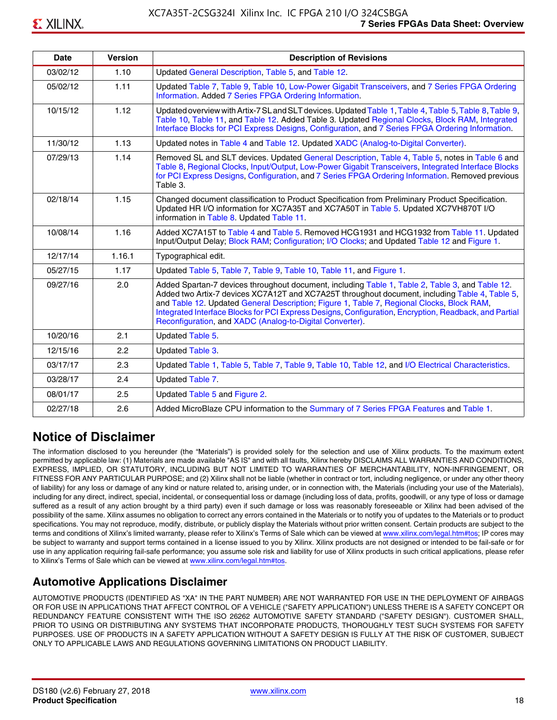| <b>Date</b> | <b>Version</b> | <b>Description of Revisions</b>                                                                                                                                                                                                                                                                                                                                                                                                                                     |
|-------------|----------------|---------------------------------------------------------------------------------------------------------------------------------------------------------------------------------------------------------------------------------------------------------------------------------------------------------------------------------------------------------------------------------------------------------------------------------------------------------------------|
| 03/02/12    | 1.10           | Updated General Description, Table 5, and Table 12.                                                                                                                                                                                                                                                                                                                                                                                                                 |
| 05/02/12    | 1.11           | Updated Table 7, Table 9, Table 10, Low-Power Gigabit Transceivers, and 7 Series FPGA Ordering<br>Information. Added 7 Series FPGA Ordering Information.                                                                                                                                                                                                                                                                                                            |
| 10/15/12    | 1.12           | Updated overview with Artix-7 SL and SLT devices. Updated Table 1, Table 4, Table 5, Table 8, Table 9,<br>Table 10, Table 11, and Table 12. Added Table 3. Updated Regional Clocks, Block RAM, Integrated<br>Interface Blocks for PCI Express Designs, Configuration, and 7 Series FPGA Ordering Information.                                                                                                                                                       |
| 11/30/12    | 1.13           | Updated notes in Table 4 and Table 12. Updated XADC (Analog-to-Digital Converter).                                                                                                                                                                                                                                                                                                                                                                                  |
| 07/29/13    | 1.14           | Removed SL and SLT devices. Updated General Description, Table 4, Table 5, notes in Table 6 and<br>Table 8, Regional Clocks, Input/Output, Low-Power Gigabit Transceivers, Integrated Interface Blocks<br>for PCI Express Designs, Configuration, and 7 Series FPGA Ordering Information. Removed previous<br>Table 3.                                                                                                                                              |
| 02/18/14    | 1.15           | Changed document classification to Product Specification from Preliminary Product Specification.<br>Updated HR I/O information for XC7A35T and XC7A50T in Table 5. Updated XC7VH870T I/O<br>information in Table 8. Updated Table 11.                                                                                                                                                                                                                               |
| 10/08/14    | 1.16           | Added XC7A15T to Table 4 and Table 5. Removed HCG1931 and HCG1932 from Table 11. Updated<br>Input/Output Delay; Block RAM; Configuration; I/O Clocks; and Updated Table 12 and Figure 1.                                                                                                                                                                                                                                                                            |
| 12/17/14    | 1.16.1         | Typographical edit.                                                                                                                                                                                                                                                                                                                                                                                                                                                 |
| 05/27/15    | 1.17           | Updated Table 5, Table 7, Table 9, Table 10, Table 11, and Figure 1.                                                                                                                                                                                                                                                                                                                                                                                                |
| 09/27/16    | 2.0            | Added Spartan-7 devices throughout document, including Table 1, Table 2, Table 3, and Table 12.<br>Added two Artix-7 devices XC7A12T and XC7A25T throughout document, including Table 4, Table 5,<br>and Table 12. Updated General Description; Figure 1, Table 7, Regional Clocks, Block RAM,<br>Integrated Interface Blocks for PCI Express Designs, Configuration, Encryption, Readback, and Partial<br>Reconfiguration, and XADC (Analog-to-Digital Converter). |
| 10/20/16    | 2.1            | Updated Table 5.                                                                                                                                                                                                                                                                                                                                                                                                                                                    |
| 12/15/16    | 2.2            | Updated Table 3.                                                                                                                                                                                                                                                                                                                                                                                                                                                    |
| 03/17/17    | 2.3            | Updated Table 1, Table 5, Table 7, Table 9, Table 10, Table 12, and I/O Electrical Characteristics.                                                                                                                                                                                                                                                                                                                                                                 |
| 03/28/17    | 2.4            | Updated Table 7.                                                                                                                                                                                                                                                                                                                                                                                                                                                    |
| 08/01/17    | 2.5            | Updated Table 5 and Figure 2.                                                                                                                                                                                                                                                                                                                                                                                                                                       |
| 02/27/18    | 2.6            | Added MicroBlaze CPU information to the Summary of 7 Series FPGA Features and Table 1.                                                                                                                                                                                                                                                                                                                                                                              |

# **Notice of Disclaimer**

The information disclosed to you hereunder (the "Materials") is provided solely for the selection and use of Xilinx products. To the maximum extent permitted by applicable law: (1) Materials are made available "AS IS" and with all faults, Xilinx hereby DISCLAIMS ALL WARRANTIES AND CONDITIONS, EXPRESS, IMPLIED, OR STATUTORY, INCLUDING BUT NOT LIMITED TO WARRANTIES OF MERCHANTABILITY, NON-INFRINGEMENT, OR FITNESS FOR ANY PARTICULAR PURPOSE; and (2) Xilinx shall not be liable (whether in contract or tort, including negligence, or under any other theory of liability) for any loss or damage of any kind or nature related to, arising under, or in connection with, the Materials (including your use of the Materials), including for any direct, indirect, special, incidental, or consequential loss or damage (including loss of data, profits, goodwill, or any type of loss or damage suffered as a result of any action brought by a third party) even if such damage or loss was reasonably foreseeable or Xilinx had been advised of the possibility of the same. Xilinx assumes no obligation to correct any errors contained in the Materials or to notify you of updates to the Materials or to product specifications. You may not reproduce, modify, distribute, or publicly display the Materials without prior written consent. Certain products are subject to the terms and conditions of Xilinx's limited warranty, please refer to Xilinx's Terms of Sale which can be viewed at [www.xilinx.com/legal.htm#tos;](www.xilinx.com/legal.htm#tos) IP cores may be subject to warranty and support terms contained in a license issued to you by Xilinx. Xilinx products are not designed or intended to be fail-safe or for use in any application requiring fail-safe performance; you assume sole risk and liability for use of Xilinx products in such critical applications, please refer to Xilinx's Terms of Sale which can be viewed at <www.xilinx.com/legal.htm#tos>.

# **Automotive Applications Disclaimer**

AUTOMOTIVE PRODUCTS (IDENTIFIED AS "XA" IN THE PART NUMBER) ARE NOT WARRANTED FOR USE IN THE DEPLOYMENT OF AIRBAGS OR FOR USE IN APPLICATIONS THAT AFFECT CONTROL OF A VEHICLE ("SAFETY APPLICATION") UNLESS THERE IS A SAFETY CONCEPT OR REDUNDANCY FEATURE CONSISTENT WITH THE ISO 26262 AUTOMOTIVE SAFETY STANDARD ("SAFETY DESIGN"). CUSTOMER SHALL, PRIOR TO USING OR DISTRIBUTING ANY SYSTEMS THAT INCORPORATE PRODUCTS, THOROUGHLY TEST SUCH SYSTEMS FOR SAFETY PURPOSES. USE OF PRODUCTS IN A SAFETY APPLICATION WITHOUT A SAFETY DESIGN IS FULLY AT THE RISK OF CUSTOMER, SUBJECT ONLY TO APPLICABLE LAWS AND REGULATIONS GOVERNING LIMITATIONS ON PRODUCT LIABILITY.